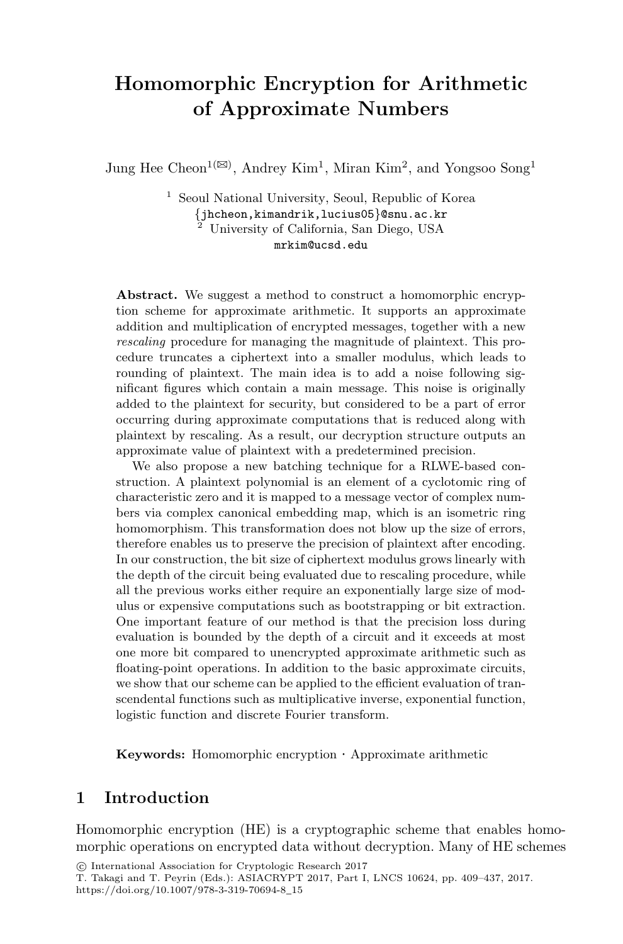# **Homomorphic Encryption for Arithmetic of Approximate Numbers**

Jung Hee Cheon<sup>1( $\boxtimes$ )</sup>, Andrey Kim<sup>1</sup>, Miran Kim<sup>2</sup>, and Yongsoo Song<sup>1</sup>

<sup>1</sup> Seoul National University, Seoul, Republic of Korea *{*jhcheon,kimandrik,lucius05*}*@snu.ac.kr <sup>2</sup> University of California, San Diego, USA mrkim@ucsd.edu

**Abstract.** We suggest a method to construct a homomorphic encryption scheme for approximate arithmetic. It supports an approximate addition and multiplication of encrypted messages, together with a new *rescaling* procedure for managing the magnitude of plaintext. This procedure truncates a ciphertext into a smaller modulus, which leads to rounding of plaintext. The main idea is to add a noise following significant figures which contain a main message. This noise is originally added to the plaintext for security, but considered to be a part of error occurring during approximate computations that is reduced along with plaintext by rescaling. As a result, our decryption structure outputs an approximate value of plaintext with a predetermined precision.

We also propose a new batching technique for a RLWE-based construction. A plaintext polynomial is an element of a cyclotomic ring of characteristic zero and it is mapped to a message vector of complex numbers via complex canonical embedding map, which is an isometric ring homomorphism. This transformation does not blow up the size of errors, therefore enables us to preserve the precision of plaintext after encoding. In our construction, the bit size of ciphertext modulus grows linearly with the depth of the circuit being evaluated due to rescaling procedure, while all the previous works either require an exponentially large size of modulus or expensive computations such as bootstrapping or bit extraction. One important feature of our method is that the precision loss during evaluation is bounded by the depth of a circuit and it exceeds at most one more bit compared to unencrypted approximate arithmetic such as floating-point operations. In addition to the basic approximate circuits, we show that our scheme can be applied to the efficient evaluation of transcendental functions such as multiplicative inverse, exponential function, logistic function and discrete Fourier transform.

**Keywords:** Homomorphic encryption · Approximate arithmetic

### **1 Introduction**

Homomorphic encryption (HE) is a cryptographic scheme that enables homomorphic operations on encrypted data without decryption. Many of HE schemes

T. Takagi and T. Peyrin (Eds.): ASIACRYPT 2017, Part I, LNCS 10624, pp. 409–437, 2017. https://doi.org/10.1007/978-3-319-70694-8\_15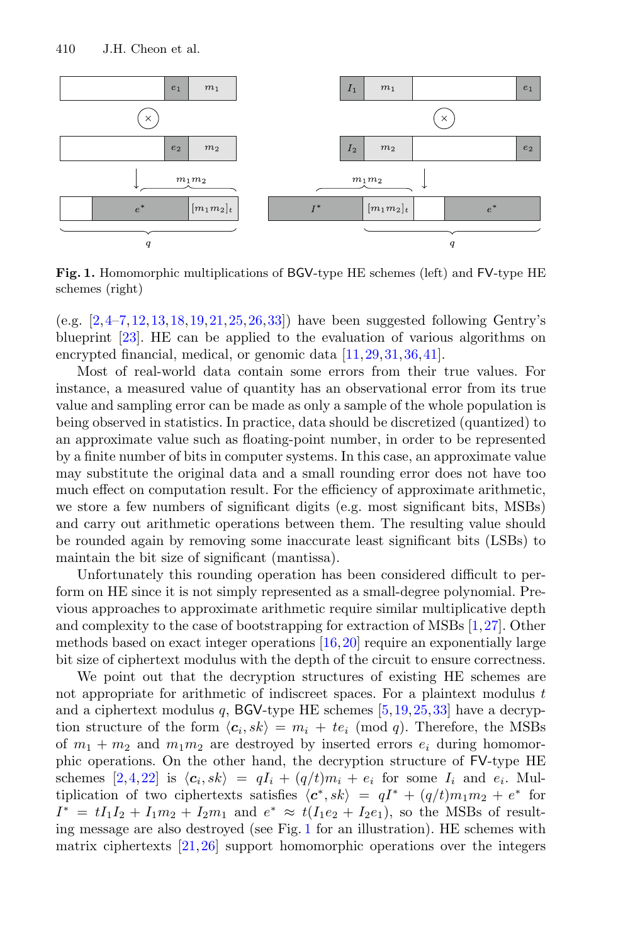

<span id="page-1-0"></span>**Fig. 1.** Homomorphic multiplications of BGV-type HE schemes (left) and FV-type HE schemes (right)

 $(e.g. [2, 4-7, 12, 13, 18, 19, 21, 25, 26, 33])$  $(e.g. [2, 4-7, 12, 13, 18, 19, 21, 25, 26, 33])$  $(e.g. [2, 4-7, 12, 13, 18, 19, 21, 25, 26, 33])$  $(e.g. [2, 4-7, 12, 13, 18, 19, 21, 25, 26, 33])$  $(e.g. [2, 4-7, 12, 13, 18, 19, 21, 25, 26, 33])$  $(e.g. [2, 4-7, 12, 13, 18, 19, 21, 25, 26, 33])$  $(e.g. [2, 4-7, 12, 13, 18, 19, 21, 25, 26, 33])$  $(e.g. [2, 4-7, 12, 13, 18, 19, 21, 25, 26, 33])$  $(e.g. [2, 4-7, 12, 13, 18, 19, 21, 25, 26, 33])$  $(e.g. [2, 4-7, 12, 13, 18, 19, 21, 25, 26, 33])$  $(e.g. [2, 4-7, 12, 13, 18, 19, 21, 25, 26, 33])$  $(e.g. [2, 4-7, 12, 13, 18, 19, 21, 25, 26, 33])$  $(e.g. [2, 4-7, 12, 13, 18, 19, 21, 25, 26, 33])$  $(e.g. [2, 4-7, 12, 13, 18, 19, 21, 25, 26, 33])$  $(e.g. [2, 4-7, 12, 13, 18, 19, 21, 25, 26, 33])$  have been suggested following Gentry's blueprint [\[23](#page-27-5)]. HE can be applied to the evaluation of various algorithms on encrypted financial, medical, or genomic data [\[11,](#page-26-5)[29](#page-27-6)[,31](#page-27-7)[,36](#page-28-1),[41\]](#page-28-2).

Most of real-world data contain some errors from their true values. For instance, a measured value of quantity has an observational error from its true value and sampling error can be made as only a sample of the whole population is being observed in statistics. In practice, data should be discretized (quantized) to an approximate value such as floating-point number, in order to be represented by a finite number of bits in computer systems. In this case, an approximate value may substitute the original data and a small rounding error does not have too much effect on computation result. For the efficiency of approximate arithmetic, we store a few numbers of significant digits (e.g. most significant bits, MSBs) and carry out arithmetic operations between them. The resulting value should be rounded again by removing some inaccurate least significant bits (LSBs) to maintain the bit size of significant (mantissa).

Unfortunately this rounding operation has been considered difficult to perform on HE since it is not simply represented as a small-degree polynomial. Previous approaches to approximate arithmetic require similar multiplicative depth and complexity to the case of bootstrapping for extraction of MSBs [\[1,](#page-26-6)[27\]](#page-27-8). Other methods based on exact integer operations [\[16,](#page-27-9)[20\]](#page-27-10) require an exponentially large bit size of ciphertext modulus with the depth of the circuit to ensure correctness.

We point out that the decryption structures of existing HE schemes are not appropriate for arithmetic of indiscreet spaces. For a plaintext modulus  $t$ and a ciphertext modulus q, BGV-type HE schemes  $[5, 19, 25, 33]$  $[5, 19, 25, 33]$  $[5, 19, 25, 33]$  $[5, 19, 25, 33]$  $[5, 19, 25, 33]$  have a decryption structure of the form  $\langle c_i, sk \rangle = m_i + te_i \pmod{q}$ . Therefore, the MSBs of  $m_1 + m_2$  and  $m_1 m_2$  are destroyed by inserted errors  $e_i$  during homomorphic operations. On the other hand, the decryption structure of FV-type HE schemes [\[2](#page-26-0), [4,](#page-26-1) [22\]](#page-27-11) is  $\langle c_i, sk \rangle = qI_i + (q/t)m_i + e_i$  for some  $I_i$  and  $e_i$ . Multiplication of two ciphertexts satisfies  $\langle c^*, sk \rangle = qI^* + (q/t)m_1m_2 + e^*$  for  $I^* = tI_1I_2 + I_1m_2 + I_2m_1$  and  $e^* \approx t(I_1e_2 + I_2e_1)$ , so the MSBs of resulting message are also destroyed (see Fig. [1](#page-1-0) for an illustration). HE schemes with matrix ciphertexts [\[21](#page-27-2),[26\]](#page-27-4) support homomorphic operations over the integers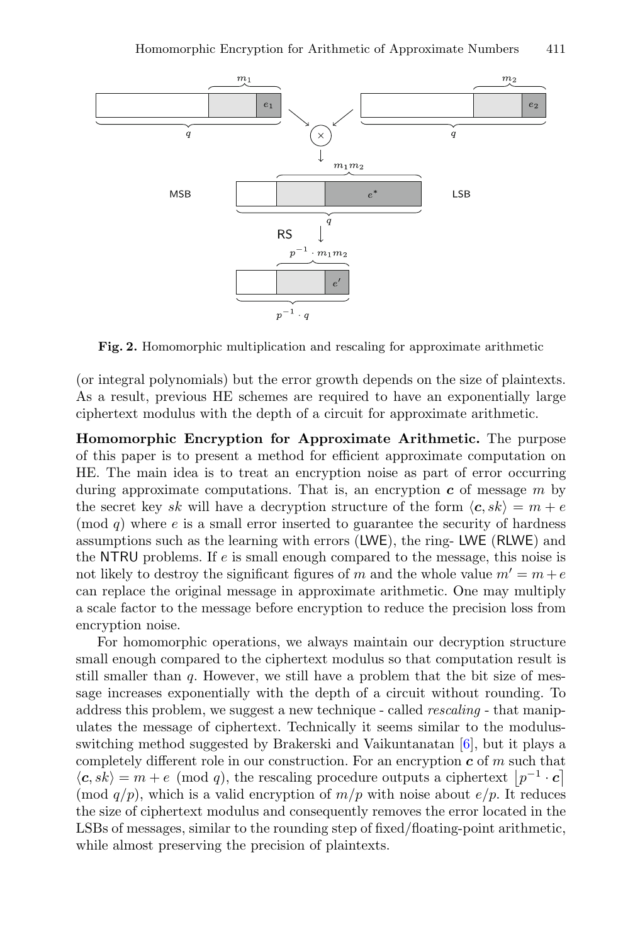

<span id="page-2-0"></span>**Fig. 2.** Homomorphic multiplication and rescaling for approximate arithmetic

(or integral polynomials) but the error growth depends on the size of plaintexts. As a result, previous HE schemes are required to have an exponentially large ciphertext modulus with the depth of a circuit for approximate arithmetic.

**Homomorphic Encryption for Approximate Arithmetic.** The purpose of this paper is to present a method for efficient approximate computation on HE. The main idea is to treat an encryption noise as part of error occurring during approximate computations. That is, an encryption  $c$  of message  $m$  by the secret key sk will have a decryption structure of the form  $\langle c, sk \rangle = m + e$  $\pmod{q}$  where e is a small error inserted to guarantee the security of hardness assumptions such as the learning with errors (LWE), the ring- LWE (RLWE) and the NTRU problems. If e is small enough compared to the message, this noise is not likely to destroy the significant figures of m and the whole value  $m' = m + e$ can replace the original message in approximate arithmetic. One may multiply a scale factor to the message before encryption to reduce the precision loss from encryption noise.

For homomorphic operations, we always maintain our decryption structure small enough compared to the ciphertext modulus so that computation result is still smaller than q. However, we still have a problem that the bit size of message increases exponentially with the depth of a circuit without rounding. To address this problem, we suggest a new technique - called *rescaling* - that manipulates the message of ciphertext. Technically it seems similar to the modulusswitching method suggested by Brakerski and Vaikuntanatan [\[6\]](#page-26-8), but it plays a completely different role in our construction. For an encryption *c* of m such that  $\langle c, sk \rangle = m + e \pmod{q}$ , the rescaling procedure outputs a ciphertext  $\lfloor p^{-1} \cdot c \rfloor$ (mod  $q/p$ ), which is a valid encryption of  $m/p$  with noise about  $e/p$ . It reduces the size of ciphertext modulus and consequently removes the error located in the LSBs of messages, similar to the rounding step of fixed/floating-point arithmetic, while almost preserving the precision of plaintexts.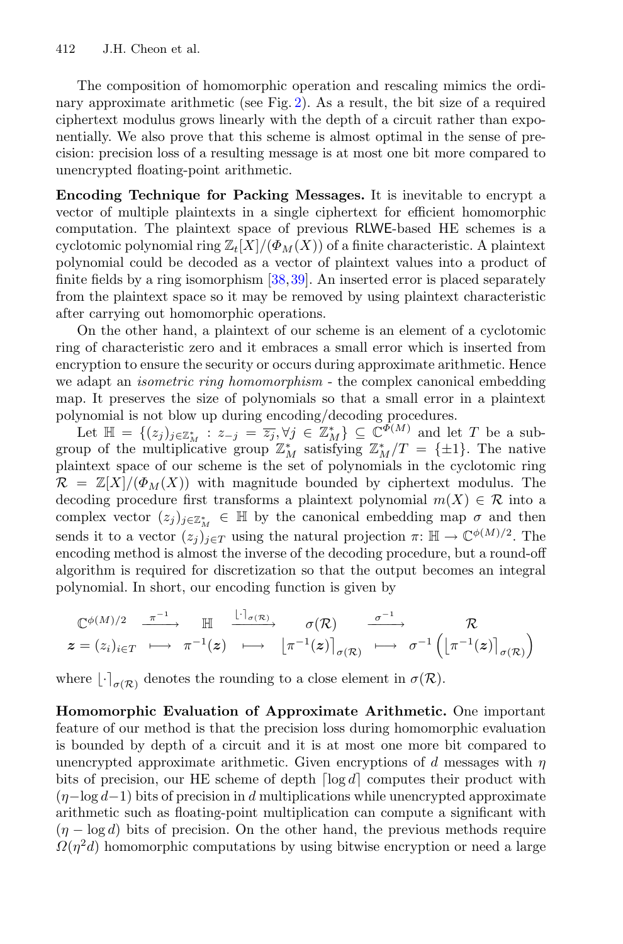The composition of homomorphic operation and rescaling mimics the ordinary approximate arithmetic (see Fig. [2\)](#page-2-0). As a result, the bit size of a required ciphertext modulus grows linearly with the depth of a circuit rather than exponentially. We also prove that this scheme is almost optimal in the sense of precision: precision loss of a resulting message is at most one bit more compared to unencrypted floating-point arithmetic.

**Encoding Technique for Packing Messages.** It is inevitable to encrypt a vector of multiple plaintexts in a single ciphertext for efficient homomorphic computation. The plaintext space of previous RLWE-based HE schemes is a cyclotomic polynomial ring  $\mathbb{Z}_t[X]/(\Phi_M(X))$  of a finite characteristic. A plaintext polynomial could be decoded as a vector of plaintext values into a product of finite fields by a ring isomorphism [\[38,](#page-28-3)[39](#page-28-4)]. An inserted error is placed separately from the plaintext space so it may be removed by using plaintext characteristic after carrying out homomorphic operations.

On the other hand, a plaintext of our scheme is an element of a cyclotomic ring of characteristic zero and it embraces a small error which is inserted from encryption to ensure the security or occurs during approximate arithmetic. Hence we adapt an *isometric ring homomorphism* - the complex canonical embedding map. It preserves the size of polynomials so that a small error in a plaintext polynomial is not blow up during encoding/decoding procedures.

Let  $\mathbb{H} = \{(z_j)_{j \in \mathbb{Z}_{M}^*} : z_{-j} = \overline{z_j}, \forall j \in \mathbb{Z}_{M}^*\} \subseteq \mathbb{C}^{\Phi(M)}$  and let T be a subgroup of the multiplicative group  $\mathbb{Z}_M^*$  satisfying  $\mathbb{Z}_M^*/T = {\pm 1}$ . The native plaintext space of our scheme is the set of polynomials in the cyclotomic ring  $\mathcal{R} = \mathbb{Z}[X]/(\Phi_M(X))$  with magnitude bounded by ciphertext modulus. The decoding procedure first transforms a plaintext polynomial  $m(X) \in \mathcal{R}$  into a complex vector  $(z_j)_{j\in\mathbb{Z}_M^*}$   $\in\mathbb{H}$  by the canonical embedding map  $\sigma$  and then sends it to a vector  $(z_j)_{j\in T}$  using the natural projection  $\pi: \mathbb{H} \to \mathbb{C}^{\phi(M)/2}$ . The encoding method is almost the inverse of the decoding procedure, but a round-off algorithm is required for discretization so that the output becomes an integral polynomial. In short, our encoding function is given by

$$
\mathbb{C}^{\phi(M)/2} \xrightarrow{\pi^{-1}} \mathbb{H} \xrightarrow{\lfloor \cdot \rceil_{\sigma(\mathcal{R})}} \sigma(\mathcal{R}) \xrightarrow{\sigma^{-1}} \mathcal{R}
$$
\n
$$
z = (z_i)_{i \in T} \longmapsto \pi^{-1}(z) \longmapsto \left[ \pi^{-1}(z) \right]_{\sigma(\mathcal{R})} \longmapsto \sigma^{-1} \left( \left[ \pi^{-1}(z) \right]_{\sigma(\mathcal{R})} \right)
$$

where  $\lfloor \cdot \rceil_{\sigma(\mathcal{R})}$  denotes the rounding to a close element in  $\sigma(\mathcal{R})$ .

**Homomorphic Evaluation of Approximate Arithmetic.** One important feature of our method is that the precision loss during homomorphic evaluation is bounded by depth of a circuit and it is at most one more bit compared to unencrypted approximate arithmetic. Given encryptions of d messages with  $\eta$ bits of precision, our HE scheme of depth  $\lceil \log d \rceil$  computes their product with  $(\eta$ −log  $d$ −1) bits of precision in d multiplications while unencrypted approximate arithmetic such as floating-point multiplication can compute a significant with  $(\eta - \log d)$  bits of precision. On the other hand, the previous methods require  $\Omega(\eta^2 d)$  homomorphic computations by using bitwise encryption or need a large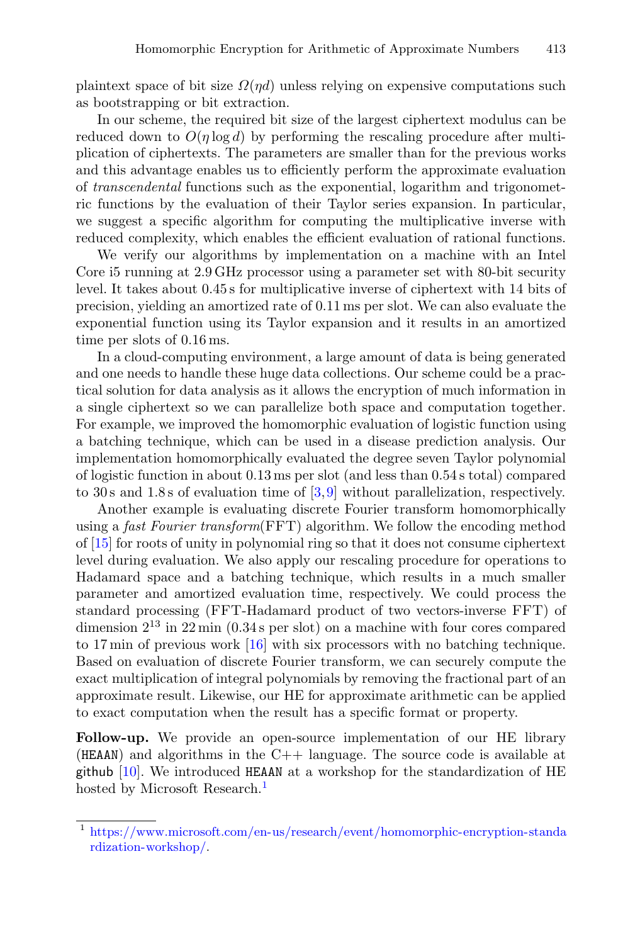plaintext space of bit size  $\Omega(\eta d)$  unless relying on expensive computations such as bootstrapping or bit extraction.

In our scheme, the required bit size of the largest ciphertext modulus can be reduced down to  $O(\eta \log d)$  by performing the rescaling procedure after multiplication of ciphertexts. The parameters are smaller than for the previous works and this advantage enables us to efficiently perform the approximate evaluation of *transcendental* functions such as the exponential, logarithm and trigonometric functions by the evaluation of their Taylor series expansion. In particular, we suggest a specific algorithm for computing the multiplicative inverse with reduced complexity, which enables the efficient evaluation of rational functions.

We verify our algorithms by implementation on a machine with an Intel Core i5 running at 2.9 GHz processor using a parameter set with 80-bit security level. It takes about 0.45 s for multiplicative inverse of ciphertext with 14 bits of precision, yielding an amortized rate of 0.11 ms per slot. We can also evaluate the exponential function using its Taylor expansion and it results in an amortized time per slots of 0.16 ms.

In a cloud-computing environment, a large amount of data is being generated and one needs to handle these huge data collections. Our scheme could be a practical solution for data analysis as it allows the encryption of much information in a single ciphertext so we can parallelize both space and computation together. For example, we improved the homomorphic evaluation of logistic function using a batching technique, which can be used in a disease prediction analysis. Our implementation homomorphically evaluated the degree seven Taylor polynomial of logistic function in about 0.13 ms per slot (and less than 0.54 s total) compared to  $30 s$  and  $1.8 s$  of evaluation time of  $[3,9]$  $[3,9]$  $[3,9]$  without parallelization, respectively.

Another example is evaluating discrete Fourier transform homomorphically using a *fast Fourier transform*(FFT) algorithm. We follow the encoding method of [\[15\]](#page-26-11) for roots of unity in polynomial ring so that it does not consume ciphertext level during evaluation. We also apply our rescaling procedure for operations to Hadamard space and a batching technique, which results in a much smaller parameter and amortized evaluation time, respectively. We could process the standard processing (FFT-Hadamard product of two vectors-inverse FFT) of dimension 2<sup>13</sup> in 22 min (0.34 s per slot) on a machine with four cores compared to 17 min of previous work [\[16\]](#page-27-9) with six processors with no batching technique. Based on evaluation of discrete Fourier transform, we can securely compute the exact multiplication of integral polynomials by removing the fractional part of an approximate result. Likewise, our HE for approximate arithmetic can be applied to exact computation when the result has a specific format or property.

**Follow-up.** We provide an open-source implementation of our HE library (HEAAN) and algorithms in the C++ language. The source code is available at github  $[10]$  $[10]$ . We introduced HEAAN at a workshop for the standardization of HE hosted by Microsoft Research.<sup>1</sup>

<sup>1</sup> [https://www.microsoft.com/en-us/research/event/homomorphic-encryption-standa](https://www.microsoft.com/en-us/research/event/homomorphic-encryption-standardization-workshop/) [rdization-workshop/.](https://www.microsoft.com/en-us/research/event/homomorphic-encryption-standardization-workshop/)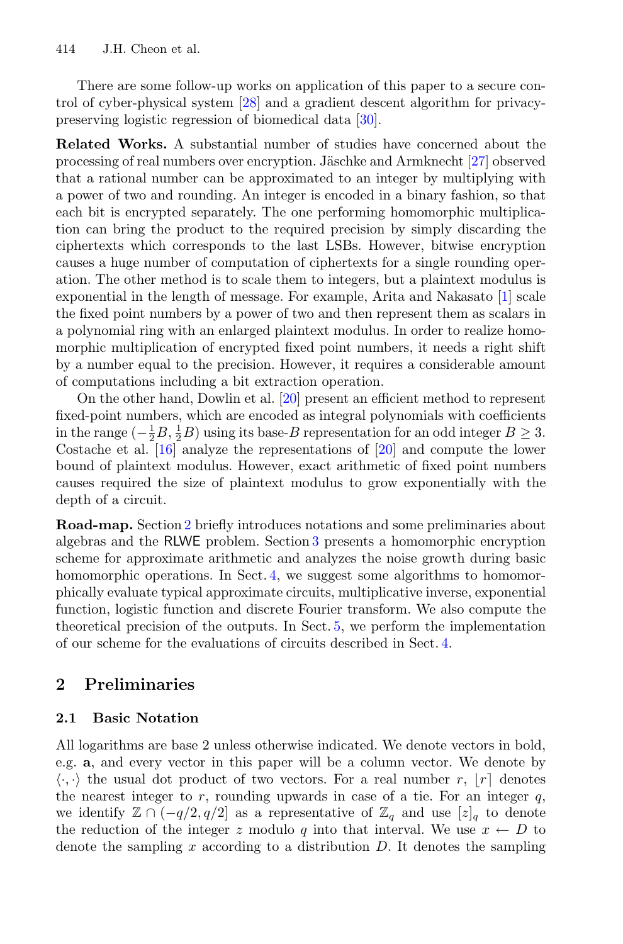There are some follow-up works on application of this paper to a secure control of cyber-physical system [\[28](#page-27-12)] and a gradient descent algorithm for privacypreserving logistic regression of biomedical data [\[30\]](#page-27-13).

**Related Works.** A substantial number of studies have concerned about the processing of real numbers over encryption. J¨aschke and Armknecht [\[27](#page-27-8)] observed that a rational number can be approximated to an integer by multiplying with a power of two and rounding. An integer is encoded in a binary fashion, so that each bit is encrypted separately. The one performing homomorphic multiplication can bring the product to the required precision by simply discarding the ciphertexts which corresponds to the last LSBs. However, bitwise encryption causes a huge number of computation of ciphertexts for a single rounding operation. The other method is to scale them to integers, but a plaintext modulus is exponential in the length of message. For example, Arita and Nakasato [\[1\]](#page-26-6) scale the fixed point numbers by a power of two and then represent them as scalars in a polynomial ring with an enlarged plaintext modulus. In order to realize homomorphic multiplication of encrypted fixed point numbers, it needs a right shift by a number equal to the precision. However, it requires a considerable amount of computations including a bit extraction operation.

On the other hand, Dowlin et al. [\[20](#page-27-10)] present an efficient method to represent fixed-point numbers, which are encoded as integral polynomials with coefficients in the range  $\left(-\frac{1}{2}B, \frac{1}{2}B\right)$  using its base-B representation for an odd integer  $B \geq 3$ . Costache et al. [\[16\]](#page-27-9) analyze the representations of [\[20](#page-27-10)] and compute the lower bound of plaintext modulus. However, exact arithmetic of fixed point numbers causes required the size of plaintext modulus to grow exponentially with the depth of a circuit.

**Road-map.** Section [2](#page-5-0) briefly introduces notations and some preliminaries about algebras and the RLWE problem. Section [3](#page-7-0) presents a homomorphic encryption scheme for approximate arithmetic and analyzes the noise growth during basic homomorphic operations. In Sect. [4,](#page-14-0) we suggest some algorithms to homomorphically evaluate typical approximate circuits, multiplicative inverse, exponential function, logistic function and discrete Fourier transform. We also compute the theoretical precision of the outputs. In Sect. [5,](#page-20-0) we perform the implementation of our scheme for the evaluations of circuits described in Sect. [4.](#page-14-0)

# <span id="page-5-0"></span>**2 Preliminaries**

### **2.1 Basic Notation**

All logarithms are base 2 unless otherwise indicated. We denote vectors in bold, e.g. **a**, and every vector in this paper will be a column vector. We denote by  $\langle \cdot, \cdot \rangle$  the usual dot product of two vectors. For a real number  $r, \lfloor r \rfloor$  denotes the nearest integer to  $r$ , rounding upwards in case of a tie. For an integer  $q$ , we identify  $\mathbb{Z} \cap (-q/2, q/2]$  as a representative of  $\mathbb{Z}_q$  and use  $[z]_q$  to denote the reduction of the integer z modulo q into that interval. We use  $x \leftarrow D$  to denote the sampling x according to a distribution  $D$ . It denotes the sampling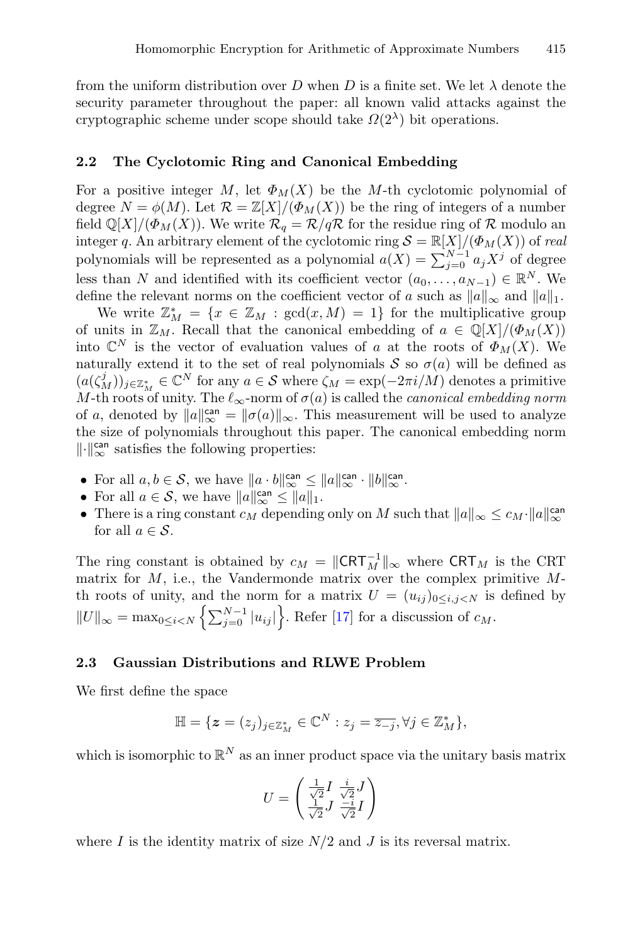from the uniform distribution over D when D is a finite set. We let  $\lambda$  denote the security parameter throughout the paper: all known valid attacks against the cryptographic scheme under scope should take  $\Omega(2^{\lambda})$  bit operations.

#### <span id="page-6-0"></span>**2.2 The Cyclotomic Ring and Canonical Embedding**

For a positive integer M, let  $\Phi_M(X)$  be the M-th cyclotomic polynomial of degree  $N = \phi(M)$ . Let  $\mathcal{R} = \mathbb{Z}[X]/(\Phi_M(X))$  be the ring of integers of a number field  $\mathbb{Q}[X]/(\Phi_M(X))$ . We write  $\mathcal{R}_q = \mathcal{R}/q\mathcal{R}$  for the residue ring of  $\mathcal R$  modulo an integer q. An arbitrary element of the cyclotomic ring  $\mathcal{S} = \mathbb{R}[X]/(\Phi_M(X))$  of *real* polynomials will be represented as a polynomial  $a(X) = \sum_{j=0}^{N-1} a_j X^j$  of degree less than N and identified with its coefficient vector  $(a_0, \ldots, a_{N-1}) \in \mathbb{R}^N$ . We define the relevant norms on the coefficient vector of a such as  $||a||_{\infty}$  and  $||a||_1$ .

We write  $\mathbb{Z}_M^* = \{x \in \mathbb{Z}_M : \gcd(x, M) = 1\}$  for the multiplicative group of units in  $\mathbb{Z}_M$ . Recall that the canonical embedding of  $a \in \mathbb{Q}[X]/(\Phi_M(X))$ into  $\mathbb{C}^N$  is the vector of evaluation values of a at the roots of  $\Phi_M(X)$ . We naturally extend it to the set of real polynomials S so  $\sigma(a)$  will be defined as  $(a(\zeta_M^j))_{j\in\mathbb{Z}_M^*}\in\mathbb{C}^N$  for any  $a\in\mathcal{S}$  where  $\zeta_M=\exp(-2\pi i/M)$  denotes a primitive M-th roots of unity. The  $\ell_{\infty}$ -norm of  $\sigma(a)$  is called the *canonical embedding norm* of a, denoted by  $||a||_{\infty}^{\text{can}} = ||\sigma(a)||_{\infty}$ . This measurement will be used to analyze the size of polynomials throughout this paper. The canonical embedding norm  $\lVert \cdot \rVert_{\infty}^{\mathsf{can}}$  satisfies the following properties:

- For all  $a, b \in S$ , we have  $||a \cdot b||_{\infty}^{\text{can}} \leq ||a||_{\infty}^{\text{can}} \cdot ||b||_{\infty}^{\text{can}}$ .
- For all  $a \in S$ , we have  $||a||_{\infty}^{\text{can}} \leq ||a||_1$ .
- There is a ring constant  $c_M$  depending only on M such that  $||a||_{\infty} \le c_M$  ·  $||a||_{\infty}$ for all  $a \in \mathcal{S}$ .

The ring constant is obtained by  $c_M = ||\text{CRT}_M^{-1}||_{\infty}$  where  $\text{CRT}_M$  is the CRT matrix for  $M$ , i.e., the Vandermonde matrix over the complex primitive  $M$ th roots of unity, and the norm for a matrix  $U = (u_{ij})_{0 \le i,j \le N}$  is defined by  $||U||_{\infty} = \max_{0 \leq i < N} \left\{ \sum_{j=0}^{N-1} |u_{ij}| \right\}.$  Refer [\[17\]](#page-27-14) for a discussion of  $c_M$ .

#### **2.3 Gaussian Distributions and RLWE Problem**

We first define the space

$$
\mathbb{H} = \{ \boldsymbol{z} = (z_j)_{j \in \mathbb{Z}_M^*} \in \mathbb{C}^N : z_j = \overline{z_{-j}}, \forall j \in \mathbb{Z}_M^* \},
$$

which is isomorphic to  $\mathbb{R}^N$  as an inner product space via the unitary basis matrix

$$
U = \begin{pmatrix} \frac{1}{\sqrt{2}}I & \frac{i}{\sqrt{2}}J\\ \frac{1}{\sqrt{2}}J & \frac{-i}{\sqrt{2}}I \end{pmatrix}
$$

where  $I$  is the identity matrix of size  $N/2$  and  $J$  is its reversal matrix.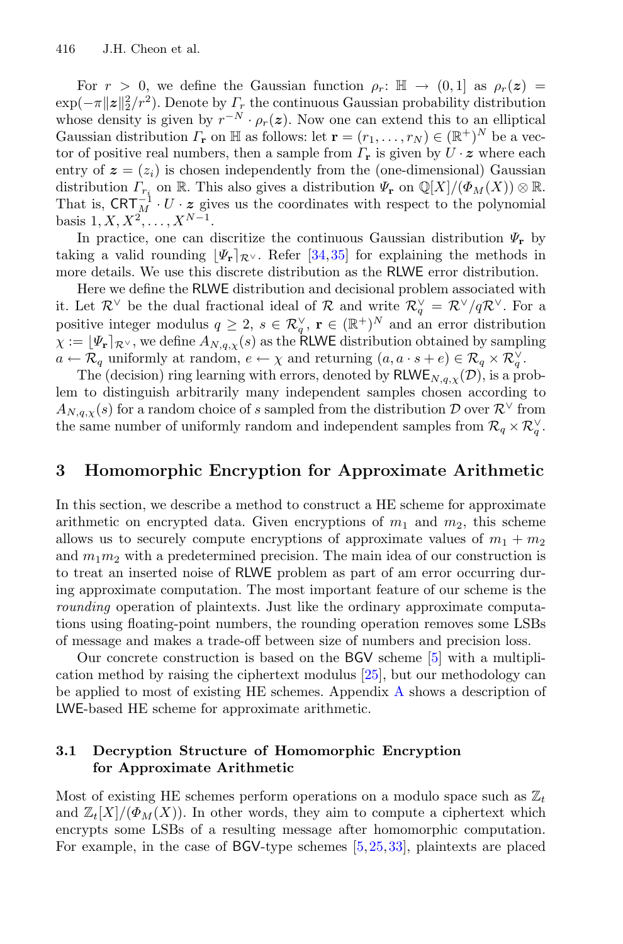For  $r > 0$ , we define the Gaussian function  $\rho_r: \mathbb{H} \to (0, 1]$  as  $\rho_r(z) =$  $\exp(-\pi ||z||_2^2/r^2)$ . Denote by  $\Gamma_r$  the continuous Gaussian probability distribution whose density is given by  $r^{-N} \cdot \rho_r(z)$ . Now one can extend this to an elliptical Gaussian distribution  $\Gamma_{\mathbf{r}}$  on  $\mathbb{H}$  as follows: let  $\mathbf{r} = (r_1, \ldots, r_N) \in (\mathbb{R}^+)^N$  be a vector of positive real numbers, then a sample from  $\Gamma_{\mathbf{r}}$  is given by  $U \cdot z$  where each entry of  $z = (z_i)$  is chosen independently from the (one-dimensional) Gaussian distribution  $\Gamma_{r_i}$  on R. This also gives a distribution  $\Psi_{\mathbf{r}}$  on  $\mathbb{Q}[X]/(\Phi_M(X)) \otimes \mathbb{R}$ . That is,  $CRT_M^{-1} \cdot U \cdot z$  gives us the coordinates with respect to the polynomial basis  $1, X, X^2, \ldots, X^{N-1}$ .

In practice, one can discritize the continuous Gaussian distribution  $\Psi_{\mathbf{r}}$  by taking a valid rounding  $[\Psi_{\mathbf{r}}]_{\mathcal{R}^{\vee}}$ . Refer [\[34,](#page-28-5)[35\]](#page-28-6) for explaining the methods in more details. We use this discrete distribution as the RLWE error distribution.

Here we define the RLWE distribution and decisional problem associated with it. Let  $\mathcal{R}^{\vee}$  be the dual fractional ideal of  $\mathcal{R}$  and write  $\mathcal{R}_{q}^{\vee} = \mathcal{R}^{\vee}/q\mathcal{R}^{\vee}$ . For a positive integer modulus  $q \geq 2$ ,  $s \in \mathcal{R}_q^{\vee}$ ,  $\mathbf{r} \in (\mathbb{R}^+)^N$  and an error distribution  $\chi := \lfloor \Psi_{\mathbf{r}} \rceil_{\mathcal{R}^{\vee}}$ , we define  $A_{N,q,\chi}(s)$  as the **RLWE** distribution obtained by sampling  $a \leftarrow \mathcal{R}_q$  uniformly at random,  $e \leftarrow \chi$  and returning  $(a, a \cdot s + e) \in \mathcal{R}_q \times \mathcal{R}_q^{\vee}$ .

The (decision) ring learning with errors, denoted by  $RLWE_{N,q,\chi}(\mathcal{D})$ , is a problem to distinguish arbitrarily many independent samples chosen according to  $A_{N,q,\chi}(s)$  for a random choice of s sampled from the distribution D over  $\mathcal{R}^{\vee}$  from the same number of uniformly random and independent samples from  $\mathcal{R}_q \times \mathcal{R}_q^{\vee}$ .

## <span id="page-7-0"></span>**3 Homomorphic Encryption for Approximate Arithmetic**

In this section, we describe a method to construct a HE scheme for approximate arithmetic on encrypted data. Given encryptions of  $m_1$  and  $m_2$ , this scheme allows us to securely compute encryptions of approximate values of  $m_1 + m_2$ and  $m_1m_2$  with a predetermined precision. The main idea of our construction is to treat an inserted noise of RLWE problem as part of am error occurring during approximate computation. The most important feature of our scheme is the *rounding* operation of plaintexts. Just like the ordinary approximate computations using floating-point numbers, the rounding operation removes some LSBs of message and makes a trade-off between size of numbers and precision loss.

Our concrete construction is based on the BGV scheme [\[5](#page-26-7)] with a multiplication method by raising the ciphertext modulus [\[25](#page-27-3)], but our methodology can be applied to most of existing HE schemes. Appendix [A](#page-24-0) shows a description of LWE-based HE scheme for approximate arithmetic.

#### **3.1 Decryption Structure of Homomorphic Encryption for Approximate Arithmetic**

Most of existing HE schemes perform operations on a modulo space such as  $\mathbb{Z}_t$ and  $\mathbb{Z}_t[X]/(\Phi_M(X))$ . In other words, they aim to compute a ciphertext which encrypts some LSBs of a resulting message after homomorphic computation. For example, in the case of BGV-type schemes [\[5,](#page-26-7)[25](#page-27-3)[,33](#page-28-0)], plaintexts are placed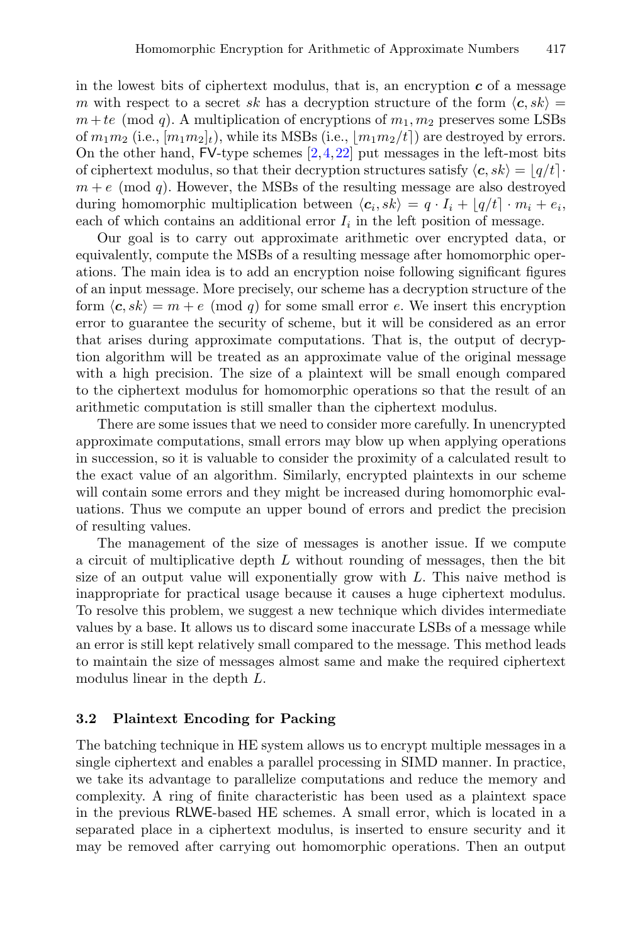in the lowest bits of ciphertext modulus, that is, an encryption  $c$  of a message m with respect to a secret sk has a decryption structure of the form  $\langle c, sk \rangle =$  $m + te \pmod{q}$ . A multiplication of encryptions of  $m_1, m_2$  preserves some LSBs of  $m_1m_2$  (i.e.,  $[m_1m_2]_t$ ), while its MSBs (i.e.,  $[m_1m_2/t]$ ) are destroyed by errors. On the other hand,  $\textsf{FV-type}$  schemes  $[2,4,22]$  $[2,4,22]$  $[2,4,22]$  $[2,4,22]$  put messages in the left-most bits of ciphertext modulus, so that their decryption structures satisfy  $\langle c, sk \rangle = \lfloor q/t \rfloor$ .  $m + e \pmod{q}$ . However, the MSBs of the resulting message are also destroyed during homomorphic multiplication between  $\langle c_i, sk \rangle = q \cdot I_i + \lfloor q/t \rfloor \cdot m_i + e_i$ each of which contains an additional error  $I_i$  in the left position of message.

Our goal is to carry out approximate arithmetic over encrypted data, or equivalently, compute the MSBs of a resulting message after homomorphic operations. The main idea is to add an encryption noise following significant figures of an input message. More precisely, our scheme has a decryption structure of the form  $\langle c, sk \rangle = m + e \pmod{q}$  for some small error e. We insert this encryption error to guarantee the security of scheme, but it will be considered as an error that arises during approximate computations. That is, the output of decryption algorithm will be treated as an approximate value of the original message with a high precision. The size of a plaintext will be small enough compared to the ciphertext modulus for homomorphic operations so that the result of an arithmetic computation is still smaller than the ciphertext modulus.

There are some issues that we need to consider more carefully. In unencrypted approximate computations, small errors may blow up when applying operations in succession, so it is valuable to consider the proximity of a calculated result to the exact value of an algorithm. Similarly, encrypted plaintexts in our scheme will contain some errors and they might be increased during homomorphic evaluations. Thus we compute an upper bound of errors and predict the precision of resulting values.

The management of the size of messages is another issue. If we compute a circuit of multiplicative depth L without rounding of messages, then the bit size of an output value will exponentially grow with  $L$ . This naive method is inappropriate for practical usage because it causes a huge ciphertext modulus. To resolve this problem, we suggest a new technique which divides intermediate values by a base. It allows us to discard some inaccurate LSBs of a message while an error is still kept relatively small compared to the message. This method leads to maintain the size of messages almost same and make the required ciphertext modulus linear in the depth L.

#### <span id="page-8-0"></span>**3.2 Plaintext Encoding for Packing**

The batching technique in HE system allows us to encrypt multiple messages in a single ciphertext and enables a parallel processing in SIMD manner. In practice, we take its advantage to parallelize computations and reduce the memory and complexity. A ring of finite characteristic has been used as a plaintext space in the previous RLWE-based HE schemes. A small error, which is located in a separated place in a ciphertext modulus, is inserted to ensure security and it may be removed after carrying out homomorphic operations. Then an output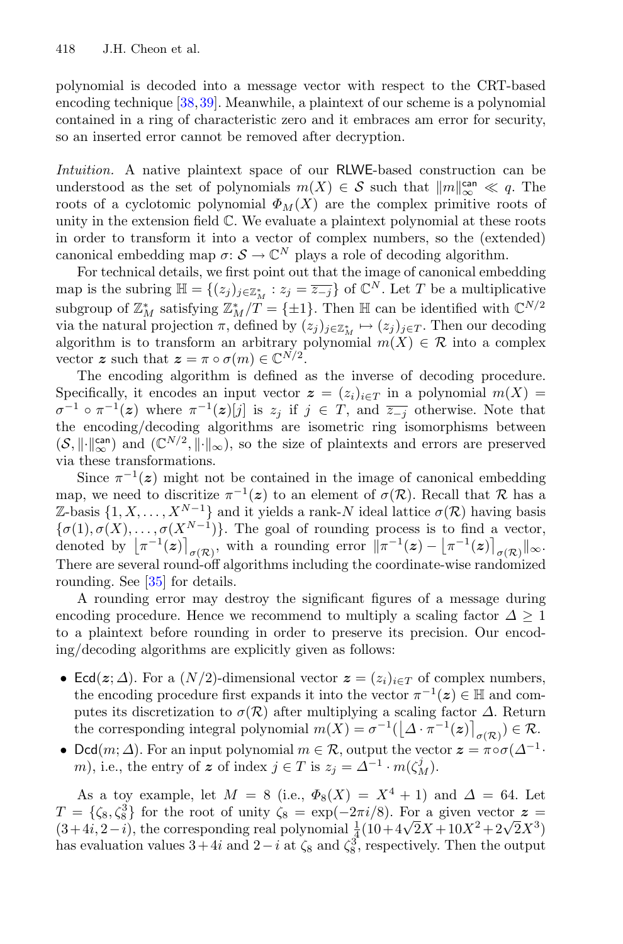polynomial is decoded into a message vector with respect to the CRT-based encoding technique [\[38](#page-28-3),[39\]](#page-28-4). Meanwhile, a plaintext of our scheme is a polynomial contained in a ring of characteristic zero and it embraces am error for security, so an inserted error cannot be removed after decryption.

*Intuition.* A native plaintext space of our RLWE-based construction can be understood as the set of polynomials  $m(X) \in S$  such that  $||m||_{\infty}^{\text{can}} \ll q$ . The roots of a cyclotomic polynomial  $\Phi_M(X)$  are the complex primitive roots of unity in the extension field C. We evaluate a plaintext polynomial at these roots in order to transform it into a vector of complex numbers, so the (extended) canonical embedding map  $\sigma: \mathcal{S} \to \mathbb{C}^N$  plays a role of decoding algorithm.

For technical details, we first point out that the image of canonical embedding map is the subring  $\mathbb{H} = \{(z_j)_{j \in \mathbb{Z}_{M}^*} : z_j = \overline{z_{-j}}\}$  of  $\mathbb{C}^N$ . Let T be a multiplicative subgroup of  $\mathbb{Z}_M^*$  satisfying  $\mathbb{Z}_M^*/T = {\pm 1}$ . Then  $\mathbb{H}$  can be identified with  $\mathbb{C}^{N/2}$ via the natural projection  $\pi$ , defined by  $(z_j)_{j\in\mathbb{Z}_M^*}\mapsto (z_j)_{j\in T}$ . Then our decoding algorithm is to transform an arbitrary polynomial  $m(X) \in \mathcal{R}$  into a complex vector  $\boldsymbol{z}$  such that  $\boldsymbol{z} = \pi \circ \sigma(m) \in \mathbb{C}^{N/2}$ .

The encoding algorithm is defined as the inverse of decoding procedure. Specifically, it encodes an input vector  $z = (z_i)_{i \in T}$  in a polynomial  $m(X) =$  $\sigma^{-1}$  ∘  $\pi^{-1}(z)$  where  $\pi^{-1}(z)[j]$  is  $z_j$  if  $j \in T$ , and  $\overline{z_{-j}}$  otherwise. Note that the encoding/decoding algorithms are isometric ring isomorphisms between  $(S, ||\cdot||_{\infty}^{\text{can}})$  and  $(\mathbb{C}^{N/2}, ||\cdot||_{\infty})$ , so the size of plaintexts and errors are preserved via these transformations.

Since  $\pi^{-1}(z)$  might not be contained in the image of canonical embedding map, we need to discritize  $\pi^{-1}(z)$  to an element of  $\sigma(\mathcal{R})$ . Recall that R has a Z-basis  $\{1, X, \ldots, X^{N-1}\}\$  and it yields a rank-N ideal lattice  $\sigma(\mathcal{R})$  having basis  ${\{\sigma(1), \sigma(X), \ldots, \sigma(X^{N-1})\}}$ . The goal of rounding process is to find a vector, denoted by  $\left[\pi^{-1}(z)\right]_{\sigma(\mathcal{R})}$ , with a rounding error  $\left\|\pi^{-1}(z) - \left[\pi^{-1}(z)\right]_{\sigma(\mathcal{R})}\right\|_{\infty}$ . There are several round-off algorithms including the coordinate-wise randomized rounding. See [\[35\]](#page-28-6) for details.

A rounding error may destroy the significant figures of a message during encoding procedure. Hence we recommend to multiply a scaling factor  $\Delta \geq 1$ to a plaintext before rounding in order to preserve its precision. Our encoding/decoding algorithms are explicitly given as follows:

- Ecd( $z; \Delta$ ). For a (N/2)-dimensional vector  $z = (z_i)_{i \in T}$  of complex numbers, the encoding procedure first expands it into the vector  $\pi^{-1}(z) \in \mathbb{H}$  and computes its discretization to  $\sigma(\mathcal{R})$  after multiplying a scaling factor  $\Delta$ . Return the corresponding integral polynomial  $m(X) = \sigma^{-1}(\lfloor \Delta \cdot \pi^{-1}(z) \rfloor_{\sigma(\mathcal{R})}) \in \mathcal{R}$ .
- Dcd $(m; \Delta)$ . For an input polynomial  $m \in \mathcal{R}$ , output the vector  $\mathbf{z} = \pi \circ \sigma(\Delta^{-1} \cdot$ m), i.e., the entry of **z** of index  $j \in T$  is  $z_j = \Delta^{-1} \cdot m(\zeta_M^j)$ .

As a toy example, let  $M = 8$  (i.e.,  $\Phi_8(X) = X^4 + 1$ ) and  $\Delta = 64$ . Let  $T = {\zeta_8, \zeta_8^3}$  for the root of unity  $\zeta_8 = \exp(-2\pi i/8)$ . For a given vector  $z =$  $(3+4i, 2-i)$ , the corresponding real polynomial  $\frac{1}{4}(10+4\sqrt{2}X+10X^2+2\sqrt{2}X^3)$ has evaluation values  $3+4i$  and  $2-i$  at  $\zeta_8$  and  $\zeta_8^3$ , respectively. Then the output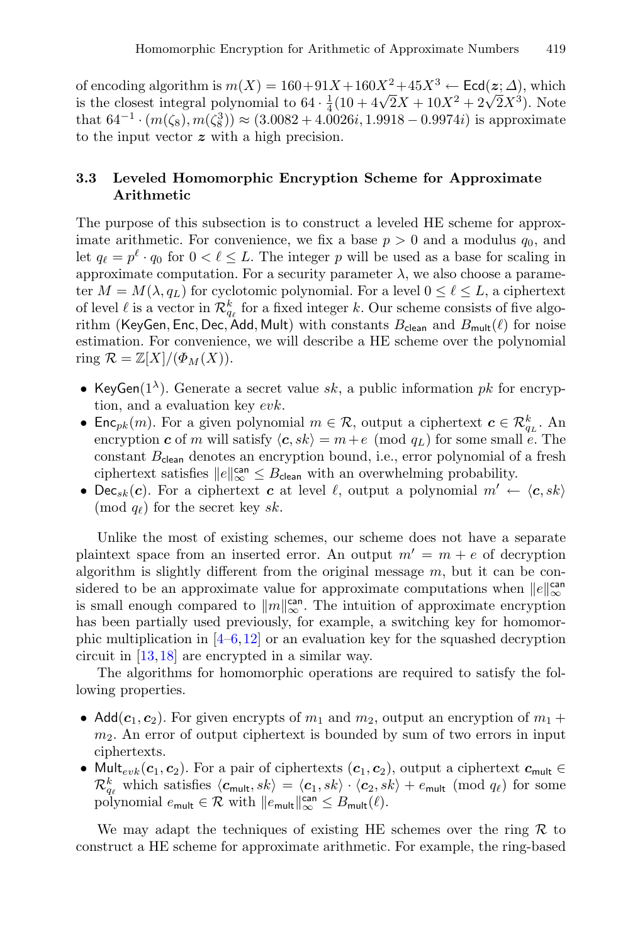of encoding algorithm is  $m(X) = 160 + 91X + 160X^2 + 45X^3 \leftarrow \text{Ecd}(z; \Delta)$ , which is the closest integral polynomial to  $64 \cdot \frac{1}{4}(10 + 4\sqrt{2}X + 10X^2 + 2\sqrt{2}X^3)$ . Note that  $64^{-1} \cdot (m(\zeta_8), m(\zeta_8^3)) \approx (3.0082 + 4.0026i, 1.9918 - 0.9974i)$  is approximate to the input vector *z* with a high precision.

#### **3.3 Leveled Homomorphic Encryption Scheme for Approximate Arithmetic**

The purpose of this subsection is to construct a leveled HE scheme for approximate arithmetic. For convenience, we fix a base  $p > 0$  and a modulus  $q_0$ , and let  $q_{\ell} = p^{\ell} \cdot q_0$  for  $0 < \ell \leq L$ . The integer p will be used as a base for scaling in approximate computation. For a security parameter  $\lambda$ , we also choose a parameter  $M = M(\lambda, q_L)$  for cyclotomic polynomial. For a level  $0 \le \ell \le L$ , a ciphertext of level  $\ell$  is a vector in  $\mathcal{R}_{q_\ell}^k$  for a fixed integer k. Our scheme consists of five algorithm (KeyGen, Enc, Dec, Add, Mult) with constants  $B_{\mathsf{clean}}$  and  $B_{\mathsf{mult}}(\ell)$  for noise estimation. For convenience, we will describe a HE scheme over the polynomial ring  $\mathcal{R} = \mathbb{Z}[X]/(\Phi_M(X)).$ 

- KeyGen( $1^{\lambda}$ ). Generate a secret value sk, a public information pk for encryption, and a evaluation key evk.
- Enc<sub>pk</sub> $(m)$ . For a given polynomial  $m \in \mathcal{R}$ , output a ciphertext  $c \in \mathcal{R}_{q_L}^k$ . An encryption *c* of *m* will satisfy  $\langle c, sk \rangle = m + e \pmod{q_L}$  for some small *e*. The constant  $B_{clean}$  denotes an encryption bound, i.e., error polynomial of a fresh ciphertext satisfies  $||e||_{\infty}^{\text{can}} \leq B_{\text{clean}}$  with an overwhelming probability.
- Dec<sub>sk</sub>(*c*). For a ciphertext *c* at level  $\ell$ , output a polynomial  $m' \leftarrow \langle c, sk \rangle$ (mod  $q_{\ell}$ ) for the secret key sk.

Unlike the most of existing schemes, our scheme does not have a separate plaintext space from an inserted error. An output  $m' = m + e$  of decryption algorithm is slightly different from the original message  $m$ , but it can be considered to be an approximate value for approximate computations when  $||e||_{\infty}^{\text{can}}$  $\sum_{n=1}^{\infty}$  is small enough compared to  $||m||_{\infty}^{\text{can}}$ . The intuition of approximate encryption has been partially used previously, for example, a switching key for homomorphic multiplication in  $[4-6,12]$  $[4-6,12]$  $[4-6,12]$  or an evaluation key for the squashed decryption circuit in [\[13,](#page-26-4)[18\]](#page-27-0) are encrypted in a similar way.

The algorithms for homomorphic operations are required to satisfy the following properties.

- Add( $c_1, c_2$ ). For given encrypts of  $m_1$  and  $m_2$ , output an encryption of  $m_1 +$  $m<sub>2</sub>$ . An error of output ciphertext is bounded by sum of two errors in input ciphertexts.
- Mult<sub>evk</sub>( $c_1, c_2$ ). For a pair of ciphertexts ( $c_1, c_2$ ), output a ciphertext  $c_{\text{mult}} \in$  $\mathcal{R}_{q_\ell}^k$  which satisfies  $\langle c_{\text{mult}}, sk \rangle = \langle c_1, sk \rangle \cdot \langle c_2, sk \rangle + e_{\text{mult}}$  (mod  $q_\ell$ ) for some polynomial  $e_{\text{mult}} \in \mathcal{R}$  with  $||e_{\text{mult}}||_{\infty}^{\text{can}} \leq B_{\text{mult}}(\ell)$ .

We may adapt the techniques of existing HE schemes over the ring  $\mathcal R$  to construct a HE scheme for approximate arithmetic. For example, the ring-based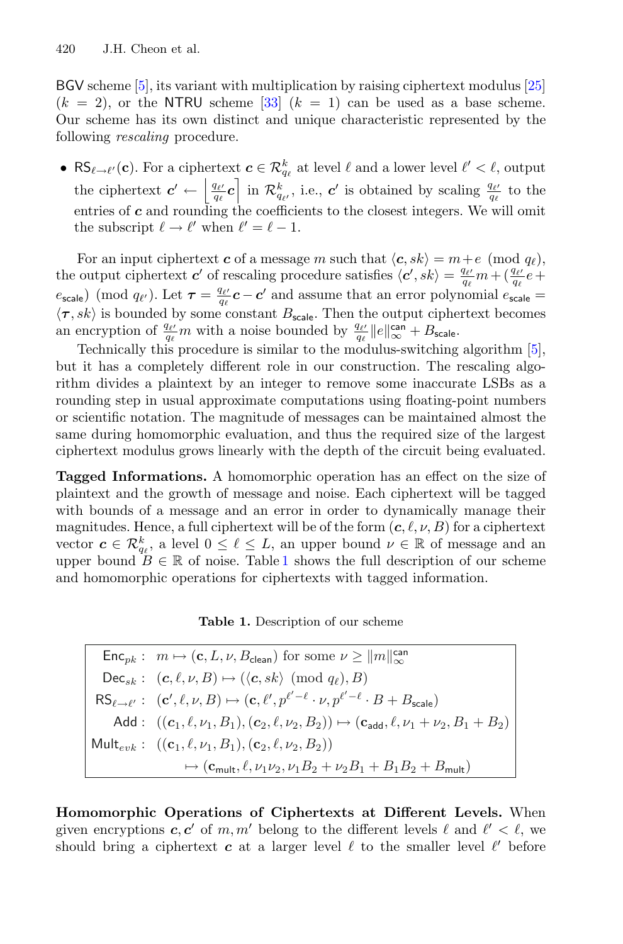BGV scheme [\[5\]](#page-26-7), its variant with multiplication by raising ciphertext modulus [\[25](#page-27-3)]  $(k = 2)$ , or the NTRU scheme [\[33](#page-28-0)]  $(k = 1)$  can be used as a base scheme. Our scheme has its own distinct and unique characteristic represented by the following *rescaling* procedure.

• RS<sub> $\ell \to \ell'$ </sub> (c). For a ciphertext  $c \in \mathcal{R}_{q_\ell}^k$  at level  $\ell$  and a lower level  $\ell' < \ell$ , output the ciphertext  $c' \leftarrow \begin{bmatrix} \frac{q_{\ell'}}{q_{\ell}} c \\ \frac{q_{\ell'}}{q_{\ell}} c \end{bmatrix}$  in  $\mathcal{R}^k_{q_{\ell'}}$ , i.e.,  $c'$  is obtained by scaling  $\frac{q_{\ell'}}{q_{\ell}}$  to the entries of *c* and rounding the coefficients to the closest integers. We will omit the subscript  $\ell \to \ell'$  when  $\ell' = \ell - 1$ .

For an input ciphertext *c* of a message *m* such that  $\langle c, sk \rangle = m + e \pmod{q_{\ell}},$ the output ciphertext *c'* of rescaling procedure satisfies  $\langle c', sk \rangle = \frac{q_{\ell'}}{q_{\ell}} m + (\frac{q_{\ell'}}{q_{\ell}} e +$  $e_{\text{scale}}$ ) (mod  $q_{\ell'}$ ). Let  $\tau = \frac{q_{\ell'}}{q_{\ell}} c - c'$  and assume that an error polynomial  $e_{\text{scale}} =$  $\langle \tau, sk \rangle$  is bounded by some constant  $B_{scale}$ . Then the output ciphertext becomes an encryption of  $\frac{q_{\ell'}}{q_{\ell}}$  m with a noise bounded by  $\frac{q_{\ell'}}{q_{\ell}}||e||_{\infty}^{\text{can}}+B_{\text{scale}}$ .

Technically this procedure is similar to the modulus-switching algorithm [\[5\]](#page-26-7), but it has a completely different role in our construction. The rescaling algorithm divides a plaintext by an integer to remove some inaccurate LSBs as a rounding step in usual approximate computations using floating-point numbers or scientific notation. The magnitude of messages can be maintained almost the same during homomorphic evaluation, and thus the required size of the largest ciphertext modulus grows linearly with the depth of the circuit being evaluated.

**Tagged Informations.** A homomorphic operation has an effect on the size of plaintext and the growth of message and noise. Each ciphertext will be tagged with bounds of a message and an error in order to dynamically manage their magnitudes. Hence, a full ciphertext will be of the form  $(c, \ell, \nu, B)$  for a ciphertext vector  $c \in \mathcal{R}_{q_{\ell}}^k$ , a level  $0 \leq \ell \leq L$ , an upper bound  $\nu \in \mathbb{R}$  of message and an upper bound  $B \in \mathbb{R}$  of noise. Table [1](#page-11-0) shows the full description of our scheme and homomorphic operations for ciphertexts with tagged information.

**Table 1.** Description of our scheme

<span id="page-11-0"></span>

| $\mathsf{Enc}_{pk}: m \mapsto (\mathbf{c}, L, \nu, B_{\mathsf{clean}})$ for some $\nu \geq   m  _{\infty}^{\mathsf{can}}$                                      |
|----------------------------------------------------------------------------------------------------------------------------------------------------------------|
| $\mathsf{Dec}_{sk}: (c, \ell, \nu, B) \mapsto (\langle c, sk \rangle \pmod{q_{\ell}}, B)$                                                                      |
| $\mathsf{RS}_{\ell \to \ell'}: (\mathbf{c}', \ell, \nu, B) \mapsto (\mathbf{c}, \ell', p^{\ell'-\ell} \cdot \nu, p^{\ell'-\ell} \cdot B + B_{\mathsf{scale}})$ |
| Add: $((c_1, \ell, \nu_1, B_1), (c_2, \ell, \nu_2, B_2)) \mapsto (c_{\text{add}}, \ell, \nu_1 + \nu_2, B_1 + B_2)$                                             |
| Mult <sub>evk</sub> : $((c_1, \ell, \nu_1, B_1), (c_2, \ell, \nu_2, B_2))$                                                                                     |
| $\mapsto (c_{\text{mult}}, \ell, \nu_1 \nu_2, \nu_1 B_2 + \nu_2 B_1 + B_1 B_2 + B_{\text{mult}})$                                                              |

**Homomorphic Operations of Ciphertexts at Different Levels.** When given encryptions  $c, c'$  of  $m, m'$  belong to the different levels  $\ell$  and  $\ell' < \ell$ , we should bring a ciphertext  $c$  at a larger level  $\ell$  to the smaller level  $\ell'$  before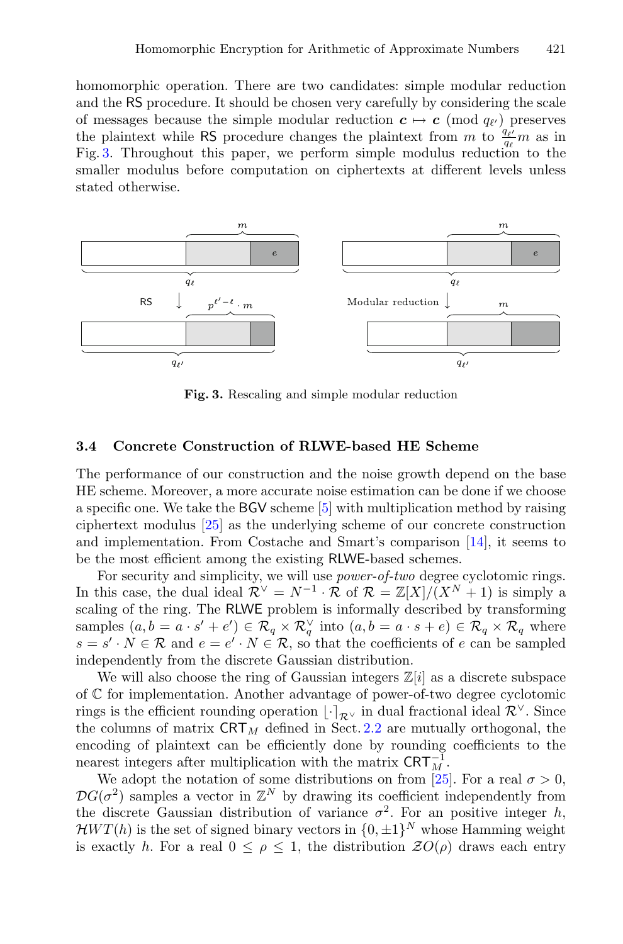homomorphic operation. There are two candidates: simple modular reduction and the RS procedure. It should be chosen very carefully by considering the scale of messages because the simple modular reduction  $c \mapsto c \pmod{q_{\ell}}$  preserves the plaintext while RS procedure changes the plaintext from m to  $\frac{q_{\ell}}{q_{\ell}}m$  as in Fig. [3.](#page-12-0) Throughout this paper, we perform simple modulus reduction to the smaller modulus before computation on ciphertexts at different levels unless stated otherwise.



<span id="page-12-0"></span>**Fig. 3.** Rescaling and simple modular reduction

#### <span id="page-12-1"></span>**3.4 Concrete Construction of RLWE-based HE Scheme**

The performance of our construction and the noise growth depend on the base HE scheme. Moreover, a more accurate noise estimation can be done if we choose a specific one. We take the BGV scheme [\[5\]](#page-26-7) with multiplication method by raising ciphertext modulus [\[25\]](#page-27-3) as the underlying scheme of our concrete construction and implementation. From Costache and Smart's comparison [\[14](#page-26-13)], it seems to be the most efficient among the existing RLWE-based schemes.

For security and simplicity, we will use *power-of-two* degree cyclotomic rings. In this case, the dual ideal  $\mathcal{R}^{\vee} = N^{-1} \cdot \mathcal{R}$  of  $\mathcal{R} = \mathbb{Z}[X]/(X^N + 1)$  is simply a scaling of the ring. The RLWE problem is informally described by transforming samples  $(a, b = a \cdot s' + e') \in \mathcal{R}_q \times \mathcal{R}_q^{\vee}$  into  $(a, b = a \cdot s + e) \in \mathcal{R}_q \times \mathcal{R}_q$  where  $s = s' \cdot N \in \mathcal{R}$  and  $e = e' \cdot N \in \mathcal{R}$ , so that the coefficients of e can be sampled independently from the discrete Gaussian distribution.

We will also choose the ring of Gaussian integers  $\mathbb{Z}[i]$  as a discrete subspace of C for implementation. Another advantage of power-of-two degree cyclotomic rings is the efficient rounding operation  $\lfloor \cdot \rceil_{\mathcal{R}^{\vee}}$  in dual fractional ideal  $\mathcal{R}^{\vee}$ . Since the columns of matrix  $CRT_M$  defined in Sect. [2.2](#page-6-0) are mutually orthogonal, the encoding of plaintext can be efficiently done by rounding coefficients to the nearest integers after multiplication with the matrix  $CRT_M^{-1}$ .

We adopt the notation of some distributions on from [\[25\]](#page-27-3). For a real  $\sigma > 0$ ,  $DG(\sigma^2)$  samples a vector in  $\mathbb{Z}^N$  by drawing its coefficient independently from the discrete Gaussian distribution of variance  $\sigma^2$ . For an positive integer h,  $HWT(h)$  is the set of signed binary vectors in  $\{0, \pm 1\}^N$  whose Hamming weight is exactly h. For a real  $0 \leq \rho \leq 1$ , the distribution  $\mathcal{Z}O(\rho)$  draws each entry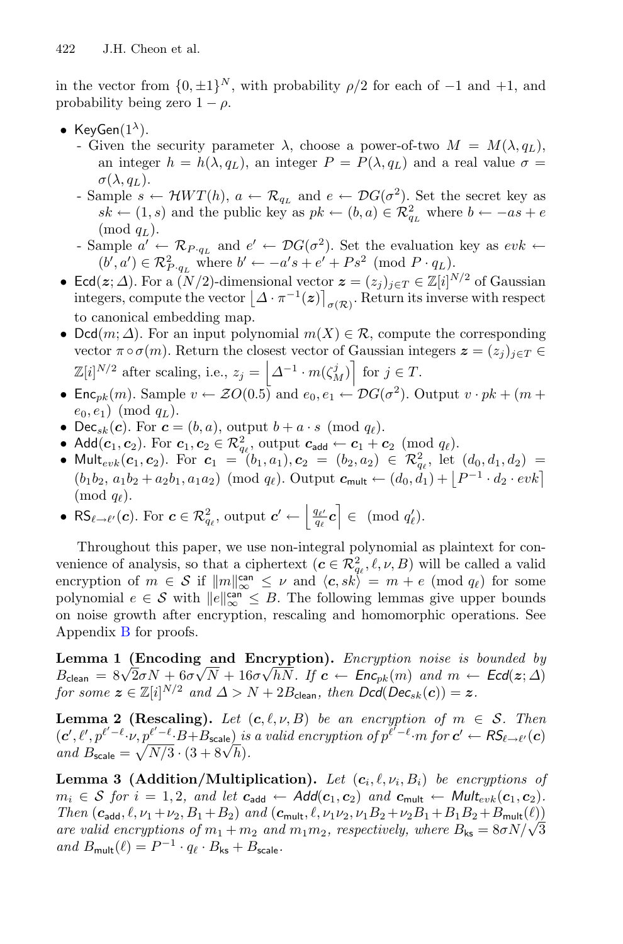in the vector from  $\{0, \pm 1\}^N$ , with probability  $\rho/2$  for each of  $-1$  and  $+1$ , and probability being zero  $1 - \rho$ .

- KeyGen $(1^{\lambda})$ .
	- Given the security parameter  $\lambda$ , choose a power-of-two  $M = M(\lambda, q_L)$ , an integer  $h = h(\lambda, q_L)$ , an integer  $P = P(\lambda, q_L)$  and a real value  $\sigma =$  $\sigma(\lambda, q_L)$ .
	- Sample  $s \leftarrow \mathcal{H}WT(h)$ ,  $a \leftarrow \mathcal{R}_{q_L}$  and  $e \leftarrow DG(\sigma^2)$ . Set the secret key as  $sk \leftarrow (1, s)$  and the public key as  $pk \leftarrow (b, a) \in \mathcal{R}_{q_L}^2$  where  $b \leftarrow -as + e$  $\pmod{q_L}$ .
	- Sample  $a' \leftarrow \mathcal{R}_{P \cdot q_L}$  and  $e' \leftarrow \mathcal{D}G(\sigma^2)$ . Set the evaluation key as  $evk \leftarrow$  $(b', a') \in \mathcal{R}_{P,q_L}^2$  where  $b' \leftarrow -a's + e' + Ps^2 \pmod{P \cdot q_L}$ .
- Ecd( $z; \Delta$ ). For a  $(N/2)$ -dimensional vector  $z = (z_j)_{j \in T} \in \mathbb{Z}[i]^{N/2}$  of Gaussian integers, compute the vector  $\left[\Delta \cdot \pi^{-1}(z)\right]_{\sigma(\mathcal{R})}$ . Return its inverse with respect to canonical embedding map.
- Dcd $(m; \Delta)$ . For an input polynomial  $m(X) \in \mathcal{R}$ , compute the corresponding vector  $\pi \circ \sigma(m)$ . Return the closest vector of Gaussian integers  $z = (z_j)_{j \in T} \in$  $\mathbb{Z}[i]^{N/2}$  after scaling, i.e.,  $z_j = \left[\Delta^{-1} \cdot m(\zeta_M^j)\right]$  for  $j \in T$ .
- Enc<sub>pk</sub> $(m)$ . Sample  $v \leftarrow \mathcal{Z}O(0.5)$  and  $e_0, e_1 \leftarrow \mathcal{D}G(\sigma^2)$ . Output  $v \cdot pk + (m +$  $(e_0, e_1) \pmod{q_L}$ .
- Dec<sub>sk</sub>(*c*). For  $c = (b, a)$ , output  $b + a \cdot s \pmod{q_\ell}$ .
- Add $(c_1, c_2)$ . For  $c_1, c_2 \in \mathcal{R}_{q_\ell}^2$ , output  $c_{\mathsf{add}} \leftarrow c_1 + c_2 \pmod{q_\ell}$ .
- Mult<sub>evk</sub>( $c_1, c_2$ ). For  $c_1 = (b_1, a_1), c_2 = (b_2, a_2) \in \mathcal{R}_{q_\ell}^2$ , let  $(d_0, d_1, d_2) =$  $(b_1b_2, a_1b_2 + a_2b_1, a_1a_2) \pmod{q_\ell}$ . Output  $c_{\text{mult}} \leftarrow (d_0, d_1) + [P^{-1} \cdot d_2 \cdot evk]$  $\pmod{q_\ell}.$
- RS<sub> $\ell \rightarrow \ell'(\mathbf{c})$ . For  $\mathbf{c} \in \mathcal{R}_{q_{\ell}}^2$ , output  $\mathbf{c}' \leftarrow \left[\frac{q_{\ell'}}{q_{\ell}} \mathbf{c}\right] \in (\text{mod } q'_{\ell}).$ </sub>

Throughout this paper, we use non-integral polynomial as plaintext for convenience of analysis, so that a ciphertext  $(c \in \mathcal{R}_{q_{\ell}}^2, \ell, \nu, B)$  will be called a valid encryption of  $m \in S$  if  $||m||_{\infty}^{\text{can}} \leq \nu$  and  $\langle c, sk \rangle = m + e \pmod{q_\ell}$  for some polynomial  $e \in \mathcal{S}$  with  $||e||_{\infty}^{\text{can}} \leq B$ . The following lemmas give upper bounds on noise growth after encryption, rescaling and homomorphic operations. See Appendix [B](#page-24-1) for proofs.

<span id="page-13-2"></span>**Lemma 1 (Encoding and Encryption).** *Encryption noise is bounded by*  $B_{\text{clean}} = 8\sqrt{2}\sigma N + 6\sigma\sqrt{N} + 16\sigma\sqrt{hN}$ . If  $c \leftarrow \text{Enc}_{pk}(m)$  and  $m \leftarrow \text{Ecd}(z;\Delta)$ *for some*  $z \in \mathbb{Z}[i]^{N/2}$  *and*  $\Delta > N + 2B_{\text{clean}}$ *, then*  $Dcd(Dec_{sk}(c)) = z$ *.* 

<span id="page-13-0"></span>**Lemma 2 (Rescaling).** Let  $(c, \ell, \nu, B)$  be an encryption of  $m \in S$ . Then  $(c', \ell', p^{\ell'-\ell} \cdot \nu, p^{\ell'-\ell} \cdot B + B_{scale})$  *is a valid encryption of*  $p^{\ell'-\ell} \cdot m$  *for*  $c' \leftarrow RS_{\ell \rightarrow \ell'}(c)$ *and*  $B_{\text{scale}} = \sqrt{N/3} \cdot (3 + 8\sqrt{h}).$ 

<span id="page-13-1"></span>**Lemma 3 (Addition/Multiplication).** Let  $(c_i, \ell, \nu_i, B_i)$  be encryptions of  $m_i \in \mathcal{S}$  for  $i = 1, 2$ , and let  $c_{\text{add}} \leftarrow \text{Add}(c_1, c_2)$  and  $c_{\text{mult}} \leftarrow \text{Mult}_{evk}(c_1, c_2)$ . *Then*  $(c_{add}, \ell, \nu_1+\nu_2, B_1+B_2)$  *and*  $(c_{mult}, \ell, \nu_1\nu_2, \nu_1B_2+\nu_2B_1+B_1B_2+B_{mult}(\ell))$ *are valid encryptions of*  $m_1 + m_2$  *and*  $m_1m_2$ *, respectively, where*  $B_{\mathsf{ks}} = 8\sigma N/\sqrt{3}$  $\label{eq:1} \begin{aligned} \textit{and } B_\mathsf{mult}(\ell) = P^{-1} \cdot q_\ell \cdot B_\mathsf{ks} + B_\mathsf{scale}. \end{aligned}$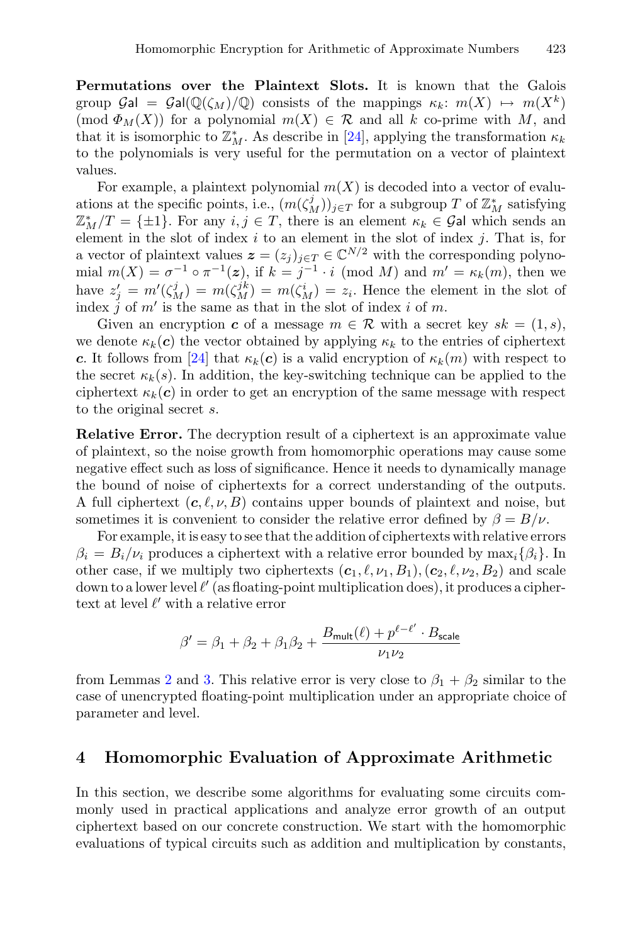**Permutations over the Plaintext Slots.** It is known that the Galois group  $\mathcal{G}al = \mathcal{G}al(\mathbb{Q}(\zeta_M)/\mathbb{Q})$  consists of the mappings  $\kappa_k: m(X) \mapsto m(X^k)$ (mod  $\Phi_M(X)$ ) for a polynomial  $m(X) \in \mathcal{R}$  and all k co-prime with M, and that it is isomorphic to  $\mathbb{Z}_M^*$ . As describe in [\[24](#page-27-15)], applying the transformation  $\kappa_k$ to the polynomials is very useful for the permutation on a vector of plaintext values.

For example, a plaintext polynomial  $m(X)$  is decoded into a vector of evaluations at the specific points, i.e.,  $(m(\zeta_M^j))_{j\in T}$  for a subgroup T of  $\mathbb{Z}_M^*$  satisfying  $\mathbb{Z}_M^*/T = \{\pm 1\}$ . For any  $i, j \in T$ , there is an element  $\kappa_k \in \mathcal{G}$ al which sends an element in the slot of index  $i$  to an element in the slot of index  $j$ . That is, for a vector of plaintext values  $z = (z_i)_{i \in T} \in \mathbb{C}^{N/2}$  with the corresponding polynomial  $m(X) = \sigma^{-1} \circ \pi^{-1}(z)$ , if  $k = j^{-1} \cdot i \pmod{M}$  and  $m' = \kappa_k(m)$ , then we have  $z_j' = m'(\zeta_M^j) = m(\zeta_M^{jk}) = m(\zeta_M^i) = z_i$ . Hence the element in the slot of index j of  $m'$  is the same as that in the slot of index i of m.

Given an encryption *c* of a message  $m \in \mathcal{R}$  with a secret key  $sk = (1, s)$ , we denote  $\kappa_k(c)$  the vector obtained by applying  $\kappa_k$  to the entries of ciphertext *c*. It follows from [\[24\]](#page-27-15) that  $\kappa_k(c)$  is a valid encryption of  $\kappa_k(m)$  with respect to the secret  $\kappa_k(s)$ . In addition, the key-switching technique can be applied to the ciphertext  $\kappa_k(c)$  in order to get an encryption of the same message with respect to the original secret s.

**Relative Error.** The decryption result of a ciphertext is an approximate value of plaintext, so the noise growth from homomorphic operations may cause some negative effect such as loss of significance. Hence it needs to dynamically manage the bound of noise of ciphertexts for a correct understanding of the outputs. A full ciphertext  $(c, \ell, \nu, B)$  contains upper bounds of plaintext and noise, but sometimes it is convenient to consider the relative error defined by  $\beta = B/\nu$ .

For example, it is easy to see that the addition of ciphertexts with relative errors  $\beta_i = B_i/\nu_i$  produces a ciphertext with a relative error bounded by  $\max_i {\beta_i}$ . In other case, if we multiply two ciphertexts  $(c_1, \ell, \nu_1, B_1), (c_2, \ell, \nu_2, B_2)$  and scale down to a lower level  $\ell'$  (as floating-point multiplication does), it produces a ciphertext at level  $\ell'$  with a relative error

$$
\beta' = \beta_1 + \beta_2 + \beta_1 \beta_2 + \frac{B_{\text{mult}}(\ell) + p^{\ell-\ell'} \cdot B_{\text{scale}}}{\nu_1 \nu_2}
$$

from Lemmas [2](#page-13-0) and [3.](#page-13-1) This relative error is very close to  $\beta_1 + \beta_2$  similar to the case of unencrypted floating-point multiplication under an appropriate choice of parameter and level.

### <span id="page-14-0"></span>**4 Homomorphic Evaluation of Approximate Arithmetic**

In this section, we describe some algorithms for evaluating some circuits commonly used in practical applications and analyze error growth of an output ciphertext based on our concrete construction. We start with the homomorphic evaluations of typical circuits such as addition and multiplication by constants,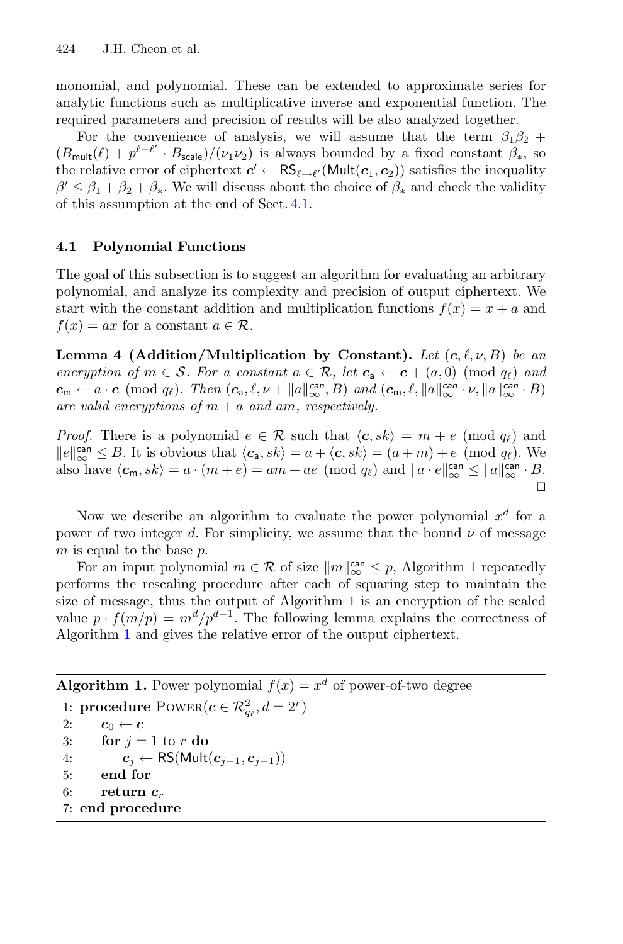monomial, and polynomial. These can be extended to approximate series for analytic functions such as multiplicative inverse and exponential function. The required parameters and precision of results will be also analyzed together.

For the convenience of analysis, we will assume that the term  $\beta_1\beta_2$  +  $(B_{\text{mult}}(\ell) + p^{\ell-\ell'} \cdot B_{\text{scale}})/(\nu_1 \nu_2)$  is always bounded by a fixed constant  $\beta_*$ , so the relative error of ciphertext  $c' \leftarrow \mathsf{RS}_{\ell \to \ell'}(\mathsf{Mult}(\mathbf{c}_1, \mathbf{c}_2))$  satisfies the inequality  $\beta' \leq \beta_1 + \beta_2 + \beta_*$ . We will discuss about the choice of  $\beta_*$  and check the validity of this assumption at the end of Sect. [4.1.](#page-15-0)

### <span id="page-15-0"></span>**4.1 Polynomial Functions**

The goal of this subsection is to suggest an algorithm for evaluating an arbitrary polynomial, and analyze its complexity and precision of output ciphertext. We start with the constant addition and multiplication functions  $f(x) = x + a$  and  $f(x) = ax$  for a constant  $a \in \mathcal{R}$ .

<span id="page-15-2"></span>Lemma 4 (Addition/Multiplication by Constant). Let  $(c, \ell, \nu, B)$  be an *encryption of*  $m \in \mathcal{S}$ *. For a constant*  $a \in \mathcal{R}$ *, let*  $c_a \leftarrow c + (a, 0) \pmod{q_\ell}$  and  $c_m \leftarrow a \cdot c \pmod{q_\ell}$ . Then  $(c_a, \ell, \nu + \|a\|_{\infty}^{can}, B)$  and  $(c_m, \ell, \|a\|_{\infty}^{can} \cdot \nu, \|a\|_{\infty}^{can} \cdot B)$ *are valid encryptions of* m + a *and* am*, respectively.*

*Proof.* There is a polynomial  $e \in \mathcal{R}$  such that  $\langle c, sk \rangle = m + e \pmod{q_{\ell}}$  and  $||e||_{\infty}^{\text{can}} \leq B$ . It is obvious that  $\langle c_a, sk \rangle = a + \langle c, sk \rangle = (a+m) + e \pmod{q_\ell}$ . We also have  $\langle c_m, sk \rangle = a \cdot (m + e) = am + ae \pmod{q_\ell}$  and  $||a \cdot e||_{\infty}^{\text{can}} \le ||a||_{\infty}^{\text{can}} \cdot B$ . П

Now we describe an algorithm to evaluate the power polynomial  $x^d$  for a power of two integer d. For simplicity, we assume that the bound  $\nu$  of message  $m$  is equal to the base  $p$ .

For an input polynomial  $m \in \mathcal{R}$  of size  $||m||_{\infty}^{\text{can}} \leq p$ , Algorithm [1](#page-15-1) repeatedly performs the rescaling procedure after each of squaring step to maintain the size of message, thus the output of Algorithm [1](#page-15-1) is an encryption of the scaled value  $p \cdot f(m/p) = m^d/p^{d-1}$ . The following lemma explains the correctness of Algorithm [1](#page-15-1) and gives the relative error of the output ciphertext.

### <span id="page-15-3"></span><span id="page-15-1"></span>**Algorithm 1.** Power polynomial  $f(x) = x<sup>d</sup>$  of power-of-two degree

1: **procedure** POWER( $c \in \mathcal{R}_{q_{\ell}}^2, d = 2^r$ ) 2:  $c_0 \leftarrow c$ <br>3: for  $j =$ for  $j = 1$  to r **do** 4:  $c_j \leftarrow \mathsf{RS}(\mathsf{Mult}(c_{j-1}, c_{j-1}))$ <br>5: **end for** 5: **end for** 6: **return**  $c_r$ 7: **end procedure**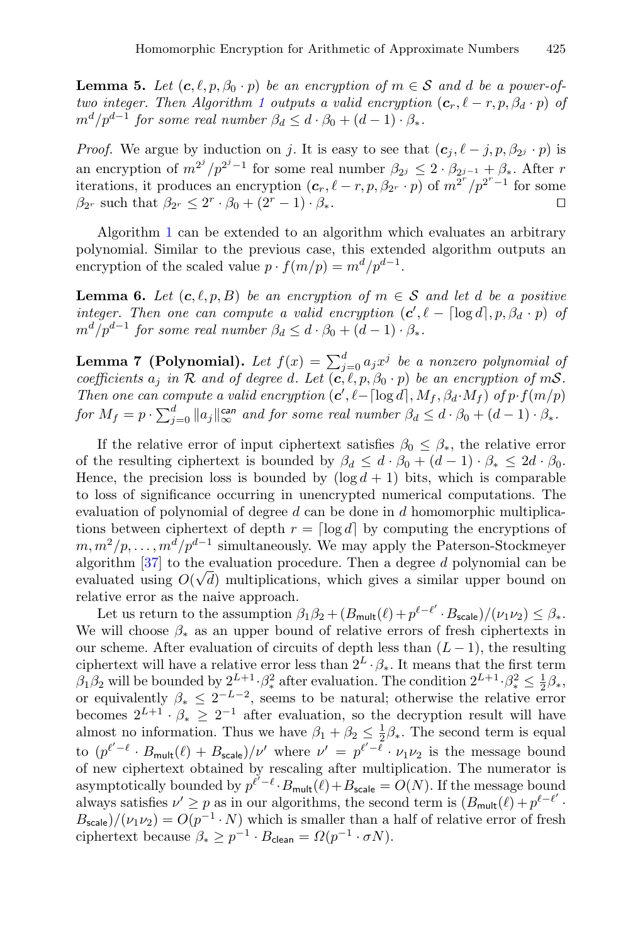**Lemma 5.** Let  $(c, \ell, p, \beta_0 \cdot p)$  *be an encryption of*  $m \in S$  *and d be a power-of-two integer. Then Algorithm [1](#page-15-1) outputs a valid encryption*  $(c_r, \ell - r, p, \beta_d \cdot p)$  *of*  $m^d/p^{d-1}$  *for some real number*  $\beta_d \leq d \cdot \beta_0 + (d-1) \cdot \beta_*$ .

*Proof.* We argue by induction on j. It is easy to see that  $(c_j, \ell - j, p, \beta_{2^j} \cdot p)$  is an encryption of  $m^{2^j}/p^{2^j-1}$  for some real number  $\beta_{2^j} \leq 2 \cdot \beta_{2^{j-1}} + \beta_*$ . After r iterations, it produces an encryption  $(c_r, \ell - r, p, \beta_{2r} \cdot p)$  of  $m^{2^r}/p^{2^r-1}$  for some  $\beta_{2r}$  such that  $\beta_{2r} \leq 2^r \cdot \beta_0 + (2^r - 1) \cdot \beta_*$ .

Algorithm [1](#page-15-1) can be extended to an algorithm which evaluates an arbitrary polynomial. Similar to the previous case, this extended algorithm outputs an encryption of the scaled value  $p \cdot f(m/p) = m^d/p^{d-1}$ .

**Lemma 6.** *Let*  $(c, \ell, p, B)$  *be an encryption of*  $m \in S$  *and let d be a positive integer. Then one can compute a valid encryption*  $(c', \ell - \lceil \log d \rceil, p, \beta_d \cdot p)$  *of*  $m^d/p^{d-1}$  *for some real number*  $\beta_d \leq d \cdot \beta_0 + (d-1) \cdot \beta_*$ .

<span id="page-16-0"></span>**Lemma 7 (Polynomial).** Let  $f(x) = \sum_{j=0}^{d} a_j x^j$  be a nonzero polynomial of *coefficients*  $a_j$  *in*  $\mathcal R$  *and of degree d. Let*  $(c, \ell, p, \beta_0 \cdot p)$  *be an encryption of*  $m\mathcal S$ . *Then one can compute a valid encryption*  $(c', \ell - \lceil \log d \rceil, M_f, \beta_d \cdot M_f)$  *of*  $p \cdot f(m/p)$  $for M_f = p \cdot \sum_{j=0}^d ||a_j||_{\infty}^{can}$  and for some real number  $\beta_d \leq d \cdot \beta_0 + (d-1) \cdot \beta_*$ .

If the relative error of input ciphertext satisfies  $\beta_0 \leq \beta_*$ , the relative error of the resulting ciphertext is bounded by  $\beta_d \leq d \cdot \beta_0 + (d-1) \cdot \beta_* \leq 2d \cdot \beta_0$ . Hence, the precision loss is bounded by  $(\log d + 1)$  bits, which is comparable to loss of significance occurring in unencrypted numerical computations. The evaluation of polynomial of degree  $d$  can be done in  $d$  homomorphic multiplications between ciphertext of depth  $r = \lceil \log d \rceil$  by computing the encryptions of  $m, m^2/p, \ldots, m^d/p^{d-1}$  simultaneously. We may apply the Paterson-Stockmeyer algorithm [\[37\]](#page-28-7) to the evaluation procedure. Then a degree d polynomial can be evaluated using  $O(\sqrt{d})$  multiplications, which gives a similar upper bound on relative error as the naive approach.

Let us return to the assumption  $\beta_1 \beta_2 + (B_{\text{mult}}(\ell) + p^{\ell-\ell'}, B_{\text{scale}})/(\nu_1 \nu_2) \leq \beta_*$ . We will choose  $\beta_*$  as an upper bound of relative errors of fresh ciphertexts in our scheme. After evaluation of circuits of depth less than  $(L-1)$ , the resulting ciphertext will have a relative error less than  $2^L \cdot \beta_*$ . It means that the first term  $\beta_1 \beta_2$  will be bounded by  $2^{L+1} \cdot \beta_*^2$  after evaluation. The condition  $2^{L+1} \cdot \beta_*^2 \leq \frac{1}{2} \beta_*$ , or equivalently  $\beta_* \leq 2^{-L-2}$ , seems to be natural; otherwise the relative error becomes  $2^{L+1} \cdot \beta_* \geq 2^{-1}$  after evaluation, so the decryption result will have almost no information. Thus we have  $\beta_1 + \beta_2 \leq \frac{1}{2}\beta_*$ . The second term is equal to  $(p^{\ell'-\ell} \cdot B_{\text{mult}}(\ell) + B_{\text{scale}})/\nu'$  where  $\nu' = p^{\ell'-\ell} \cdot \nu_1 \nu_2$  is the message bound of new ciphertext obtained by rescaling after multiplication. The numerator is asymptotically bounded by  $p^{\ell^{\prime}-\ell} \cdot B_{\text{mult}}(\ell) + B_{\text{scale}} = O(N)$ . If the message bound always satisfies  $\nu' \geq p$  as in our algorithms, the second term is  $(B_{\text{mult}}(\ell) + p^{\ell-\ell'})$ .  $B_{\text{scale}}/(\nu_1 \nu_2) = O(p^{-1} \cdot N)$  which is smaller than a half of relative error of fresh ciphertext because  $\beta_* \geq p^{-1} \cdot B_{\text{clean}} = \Omega(p^{-1} \cdot \sigma N)$ .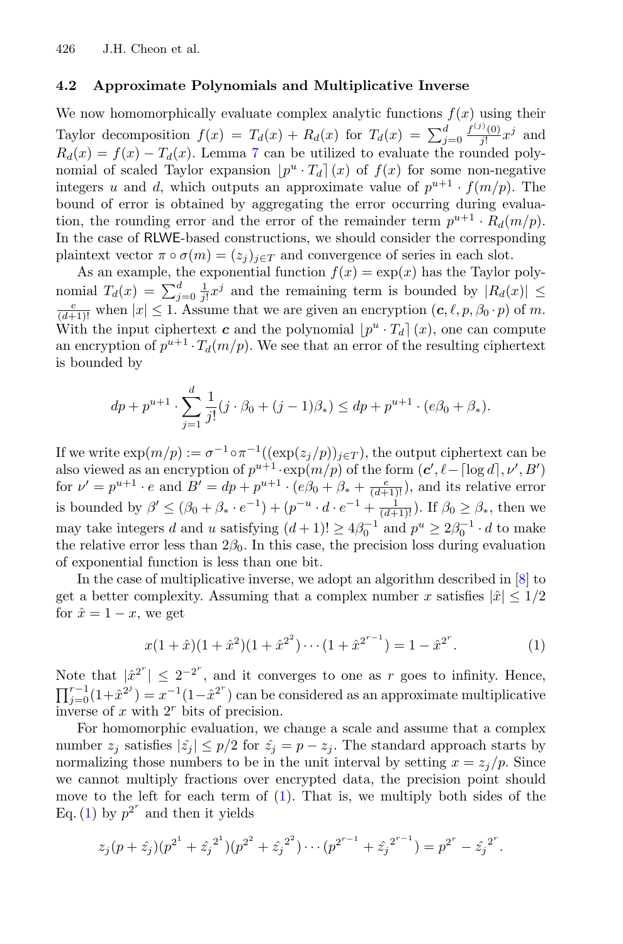#### **4.2 Approximate Polynomials and Multiplicative Inverse**

We now homomorphically evaluate complex analytic functions  $f(x)$  using their Taylor decomposition  $f(x) = T_d(x) + R_d(x)$  for  $T_d(x) = \sum_{j=0}^d \frac{f^{(j)}(0)}{j!} x^j$  and  $R_d(x) = f(x) - T_d(x)$ . Lemma [7](#page-16-0) can be utilized to evaluate the rounded polynomial of scaled Taylor expansion  $[p^u \cdot T_d] (x)$  of  $f(x)$  for some non-negative integers u and d, which outputs an approximate value of  $p^{u+1} \cdot f(m/p)$ . The bound of error is obtained by aggregating the error occurring during evaluation, the rounding error and the error of the remainder term  $p^{u+1} \cdot R_d(m/p)$ . In the case of RLWE-based constructions, we should consider the corresponding plaintext vector  $\pi \circ \sigma(m) = (z_i)_{i \in T}$  and convergence of series in each slot.

As an example, the exponential function  $f(x) = \exp(x)$  has the Taylor polynomial  $T_d(x) = \sum_{j=0}^d \frac{1}{j!} x^j$  and the remaining term is bounded by  $|R_d(x)| \leq$  $\frac{e}{(d+1)!}$  when  $|x| \leq 1$ . Assume that we are given an encryption  $(c, \ell, p, \beta_0 \cdot p)$  of m. With the input ciphertext *c* and the polynomial  $[p^u \cdot T_d](x)$ , one can compute an encryption of  $p^{u+1} \cdot T_d(m/p)$ . We see that an error of the resulting ciphertext is bounded by

$$
dp + p^{u+1} \cdot \sum_{j=1}^{d} \frac{1}{j!} (j \cdot \beta_0 + (j-1)\beta_*) \le dp + p^{u+1} \cdot (e\beta_0 + \beta_*).
$$

If we write  $\exp(m/p) := \sigma^{-1} \circ \pi^{-1}((\exp(z_i/p))_{i \in T})$ , the output ciphertext can be also viewed as an encryption of  $p^{u+1} \cdot \exp(m/p)$  of the form  $(c', \ell - \lceil \log d \rceil, \nu', B')$ for  $\nu' = p^{u+1} \cdot e$  and  $B' = dp + p^{u+1} \cdot (e\beta_0 + \beta_* + \frac{e}{(d+1)!})$ , and its relative error is bounded by  $\beta' \leq (\beta_0 + \beta_* \cdot e^{-1}) + (p^{-u} \cdot d \cdot e^{-1} + \frac{1}{(d+1)!})$ . If  $\beta_0 \geq \beta_*$ , then we may take integers d and u satisfying  $(d+1)! \geq 4\beta_0^{-1}$  and  $p^u \geq 2\beta_0^{-1} \cdot d$  to make the relative error less than  $2\beta_0$ . In this case, the precision loss during evaluation of exponential function is less than one bit.

In the case of multiplicative inverse, we adopt an algorithm described in [\[8](#page-26-14)] to get a better complexity. Assuming that a complex number x satisfies  $|\hat{x}| \leq 1/2$ for  $\hat{x} = 1 - x$ , we get

$$
x(1+\hat{x})(1+\hat{x}^2)(1+\hat{x}^{2^2})\cdots(1+\hat{x}^{2^{r-1}})=1-\hat{x}^{2^r}.
$$
 (1)

<span id="page-17-0"></span>Note that  $|\hat{x}^{2^r}| \leq 2^{-2^r}$ , and it converges to one as r goes to infinity. Hence,  $\prod_{j=0}^{r-1}(1+\hat{x}^{2^j})=x^{-1}(1-\hat{x}^{2^r})$  can be considered as an approximate multiplicative inverse of  $x$  with  $2^r$  bits of precision.

For homomorphic evaluation, we change a scale and assume that a complex number  $z_j$  satisfies  $|\hat{z}_j| \leq p/2$  for  $\hat{z}_j = p - z_j$ . The standard approach starts by normalizing those numbers to be in the unit interval by setting  $x = z_i/p$ . Since we cannot multiply fractions over encrypted data, the precision point should move to the left for each term of [\(1\)](#page-17-0). That is, we multiply both sides of the Eq. [\(1\)](#page-17-0) by  $p^{2^r}$  and then it yields

$$
z_j(p+\hat{z}_j)(p^{2^1}+\hat{z}_j^{2^1})(p^{2^2}+\hat{z}_j^{2^2})\cdots(p^{2^{r-1}}+\hat{z}_j^{2^{r-1}})=p^{2^r}-\hat{z}_j^{2^r}.
$$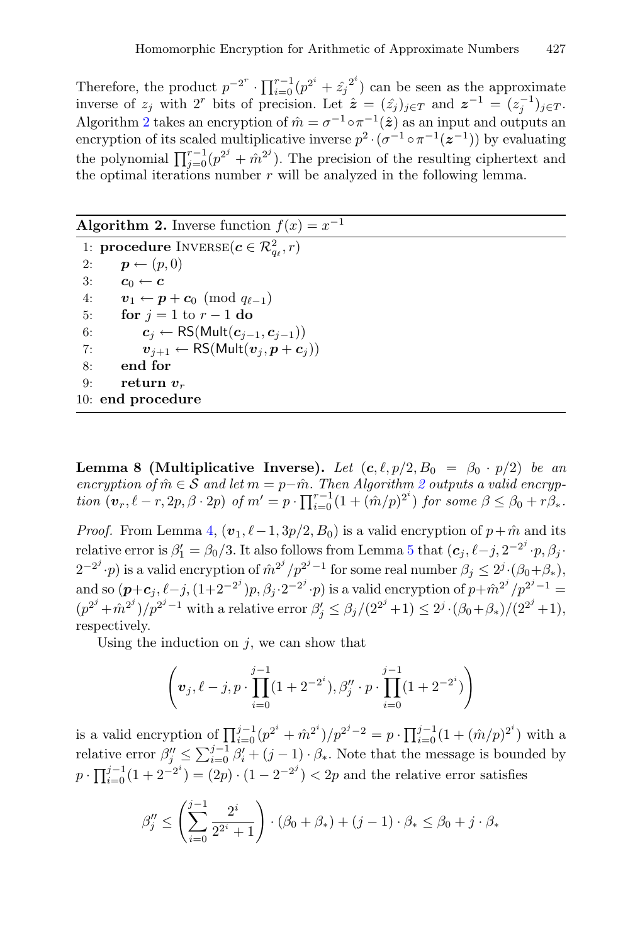Therefore, the product  $p^{-2^r} \cdot \prod_{i=0}^{r-1} (p^{2^i} + z_j^{2^i})$  can be seen as the approximate inverse of  $z_j$  with 2<sup>r</sup> bits of precision. Let  $\hat{\mathbf{z}} = (\hat{z}_j)_{j \in T}$  and  $\mathbf{z}^{-1} = (z_j^{-1})_{j \in T}$ . Algorithm [2](#page-18-0) takes an encryption of  $\hat{m} = \sigma^{-1} \circ \pi^{-1}(\hat{z})$  as an input and outputs an encryption of its scaled multiplicative inverse  $p^2 \cdot (\sigma^{-1} \circ \pi^{-1}(\mathbf{z}^{-1}))$  by evaluating the polynomial  $\prod_{j=0}^{r-1}(p^{2^j} + m^{2^j})$ . The precision of the resulting ciphertext and the optimal iterations number  $r$  will be analyzed in the following lemma.

# <span id="page-18-0"></span>**Algorithm 2.** Inverse function  $f(x) = x^{-1}$

1: **procedure**  $INVERSE(c \in \mathcal{R}_{q_{\ell}}^2, r)$ 2:  $\mathbf{p} \leftarrow (p, 0)$ <br>3:  $\mathbf{c}_0 \leftarrow \mathbf{c}$ 3:  $c_0 \leftarrow c$ <br>4:  $v_1 \leftarrow p$ 4:  $v_1 \leftarrow p + c_0 \pmod{q_{\ell-1}}$ <br>5: **for**  $j = 1$  to  $r - 1$  **do** 5: **for**  $j = 1$  to  $r - 1$  **do**<br>6: **c**<sub>i</sub>  $\leftarrow$  RS(Mult(**c**<sub>i</sub> 6:  $c_j \leftarrow \mathsf{RS}(\mathsf{Mult}(c_{j-1}, c_{j-1}))$ <br>7:  $v_{j+1} \leftarrow \mathsf{RS}(\mathsf{Mult}(v_i, p+c))$ 7:  $v_{j+1} \leftarrow \text{RS}(\text{Mult}(v_j, p + c_j))$ <br>8: end for 8: **end for** 9: **return**  $v_r$ 10: **end procedure**

<span id="page-18-1"></span>**Lemma 8 (Multiplicative Inverse).** *Let*  $(c, \ell, p/2, B_0 = \beta_0 \cdot p/2)$  *be an*  $\hat{f}$  *encryption of*  $\hat{m} \in \mathcal{S}$  *and let*  $m = p - \hat{m}$ . Then Algorithm [2](#page-18-0) *outputs a valid encryption*  $(v_r, \ell - r, 2p, \beta \cdot 2p)$  *of*  $m' = p \cdot \prod_{i=0}^{r-1} (1 + (\hat{m}/p)^{2^i})$  *for some*  $\beta \leq \beta_0 + r\beta_*$ *.* 

*Proof.* From Lemma [4,](#page-15-2)  $(\mathbf{v}_1, \ell - 1, 3p/2, B_0)$  is a valid encryption of  $p + \hat{m}$  and its relative error is  $\beta'_1 = \beta_0/3$ . It also follows from Lemma [5](#page-15-3) that  $(c_j, \ell - j, 2^{-2^j} \cdot p, \beta_j \cdot \ell)$  $2^{-2^j} \cdot p$ ) is a valid encryption of  $\hat{m}^{2^j}/p^{2^j-1}$  for some real number  $\beta_j \leq 2^j \cdot (\beta_0 + \beta_*)$ , and so  $(p+c_j, \ell-j, (1+2^{-2^j})p, \beta_j \cdot 2^{-2^j} \cdot p)$  is a valid encryption of  $p+\hat{m}^{2^j}/p^{2^j-1} =$  $(p^{2^j} + \hat{m}^{2^j})/p^{2^j-1}$  with a relative error  $\beta'_j \leq \beta_j/(2^{2^j}+1) \leq 2^j \cdot (\beta_0 + \beta_*)/(2^{2^j}+1)$ , respectively.

Using the induction on  $j$ , we can show that

$$
\left(\pmb{v}_j,\ell-j,p\cdot\prod_{i=0}^{j-1}(1+2^{-2^i}),\beta_j''\cdot p\cdot\prod_{i=0}^{j-1}(1+2^{-2^i})\right)
$$

is a valid encryption of  $\prod_{i=0}^{j-1} (p^{2^i} + m^{2^i})/p^{2^j-2} = p \cdot \prod_{i=0}^{j-1} (1 + (m/p)^{2^i})$  with a relative error  $\beta_j'' \leq \sum_{i=0}^{j-1} \beta_i^j + (j-1) \cdot \beta_*$ . Note that the message is bounded by  $p \cdot \prod_{i=0}^{j-1} (1 + 2^{-2^i}) = (2p) \cdot (1 - 2^{-2^j}) < 2p$  and the relative error satisfies

$$
\beta_j'' \le \left(\sum_{i=0}^{j-1} \frac{2^i}{2^{2^i} + 1}\right) \cdot (\beta_0 + \beta_*) + (j-1) \cdot \beta_* \le \beta_0 + j \cdot \beta_*
$$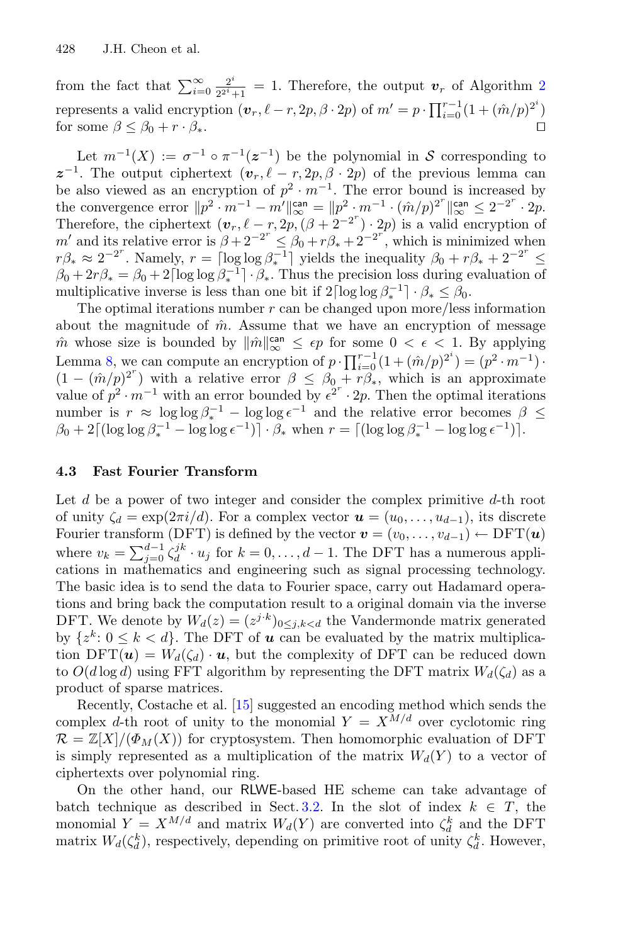from the fact that  $\sum_{i=0}^{\infty} \frac{2^{i}}{2^{i}+1} = 1$  $\sum_{i=0}^{\infty} \frac{2^{i}}{2^{i}+1} = 1$  $\sum_{i=0}^{\infty} \frac{2^{i}}{2^{i}+1} = 1$ . Therefore, the output  $v_r$  of Algorithm 2 represents a valid encryption  $(\boldsymbol{v}_r, \ell - r, 2p, \beta \cdot 2p)$  of  $m' = p \cdot \prod_{i=0}^{r-1} (1 + (\hat{m}/p)^{2^i})$ for some  $\beta \leq \beta_0 + r \cdot \beta_*$ .

Let  $m^{-1}(X) := \sigma^{-1} \circ \pi^{-1}(z^{-1})$  be the polynomial in S corresponding to  $z^{-1}$ . The output ciphertext  $(v_r, \ell-r, 2p, \beta \cdot 2p)$  of the previous lemma can be also viewed as an encryption of  $p^2 \cdot m^{-1}$ . The error bound is increased by the convergence error  $||p^2 \cdot m^{-1} - m'||_{\infty}^{\text{can}} = ||p^2 \cdot m^{-1} \cdot (\hat{m}/p)^{2^r}||_{\infty}^{\text{can}} \leq 2^{-2^r} \cdot 2p$ . Therefore, the ciphertext  $(v_r, \ell - r, 2p, (\beta + 2^{-2^r}) \cdot 2p)$  is a valid encryption of m' and its relative error is  $\beta + 2^{-2^r} \leq \beta_0 + r\beta_* + 2^{-2^r}$ , which is minimized when  $r\beta_* \approx 2^{-2^r}$ . Namely,  $r = \lceil \log \log \beta_*^{-1} \rceil$  yields the inequality  $\beta_0 + r\beta_* + 2^{-2^r} \le$  $\beta_0 + 2r\beta_* = \beta_0 + 2\lceil \log \log \beta_*^{-1} \rceil \cdot \beta_*$ . Thus the precision loss during evaluation of multiplicative inverse is less than one bit if  $2\lceil \log \log \beta_*^{-1} \rceil \cdot \beta_* \leq \beta_0$ .

The optimal iterations number  $r$  can be changed upon more/less information about the magnitude of  $\hat{m}$ . Assume that we have an encryption of message  $\hat{m}$  whose size is bounded by  $\|\hat{m}\|_{\infty}^{\text{can}} \leq \epsilon p$  for some  $0 < \epsilon < 1$ . By applying Lemma [8,](#page-18-1) we can compute an encryption of  $p \cdot \prod_{i=0}^{r-1} (1 + (m/p)^{2^i}) = (p^2 \cdot m^{-1}) \cdot$  $(1-(\hat{m}/p)^{2^r})$  with a relative error  $\beta \leq \beta_0 + r\beta_*$ , which is an approximate value of  $p^2 \cdot m^{-1}$  with an error bounded by  $\epsilon^{2^r} \cdot 2p$ . Then the optimal iterations number is  $r \approx \log \log \beta_*^{-1} - \log \log \epsilon^{-1}$  and the relative error becomes  $\beta \leq$  $\beta_0 + 2\lceil (\log \log \beta_*^{-1} - \log \log \epsilon^{-1}) \rceil \cdot \beta_*$  when  $r = \lceil (\log \log \beta_*^{-1} - \log \log \epsilon^{-1}) \rceil$ .

#### **4.3 Fast Fourier Transform**

Let  $d$  be a power of two integer and consider the complex primitive  $d$ -th root of unity  $\zeta_d = \exp(2\pi i/d)$ . For a complex vector  $\mathbf{u} = (u_0, \ldots, u_{d-1})$ , its discrete Fourier transform (DFT) is defined by the vector  $\mathbf{v} = (v_0, \ldots, v_{d-1}) \leftarrow \text{DFT}(\mathbf{u})$ where  $v_k = \sum_{j=0}^{d-1} \zeta_d^{jk} \cdot u_j$  for  $k = 0, \ldots, d-1$ . The DFT has a numerous applications in mathematics and engineering such as signal processing technology. The basic idea is to send the data to Fourier space, carry out Hadamard operations and bring back the computation result to a original domain via the inverse DFT. We denote by  $W_d(z)=(z^{j\cdot k})_{0\leq j,k\leq d}$  the Vandermonde matrix generated by  $\{z^k: 0 \le k < d\}$ . The DFT of *u* can be evaluated by the matrix multiplication  $DFT(u) = W_d(\zeta_d) \cdot u$ , but the complexity of DFT can be reduced down to  $O(d \log d)$  using FFT algorithm by representing the DFT matrix  $W_d(\zeta_d)$  as a product of sparse matrices.

Recently, Costache et al. [\[15](#page-26-11)] suggested an encoding method which sends the complex d-th root of unity to the monomial  $Y = X^{M/d}$  over cyclotomic ring  $\mathcal{R} = \mathbb{Z}[X]/(\Phi_M(X))$  for cryptosystem. Then homomorphic evaluation of DFT is simply represented as a multiplication of the matrix  $W_d(Y)$  to a vector of ciphertexts over polynomial ring.

On the other hand, our RLWE-based HE scheme can take advantage of batch technique as described in Sect. [3.2.](#page-8-0) In the slot of index  $k \in T$ , the monomial  $Y = X^{M/d}$  and matrix  $W_d(Y)$  are converted into  $\zeta_d^k$  and the DFT matrix  $W_d(\zeta_d^k)$ , respectively, depending on primitive root of unity  $\zeta_d^k$ . However,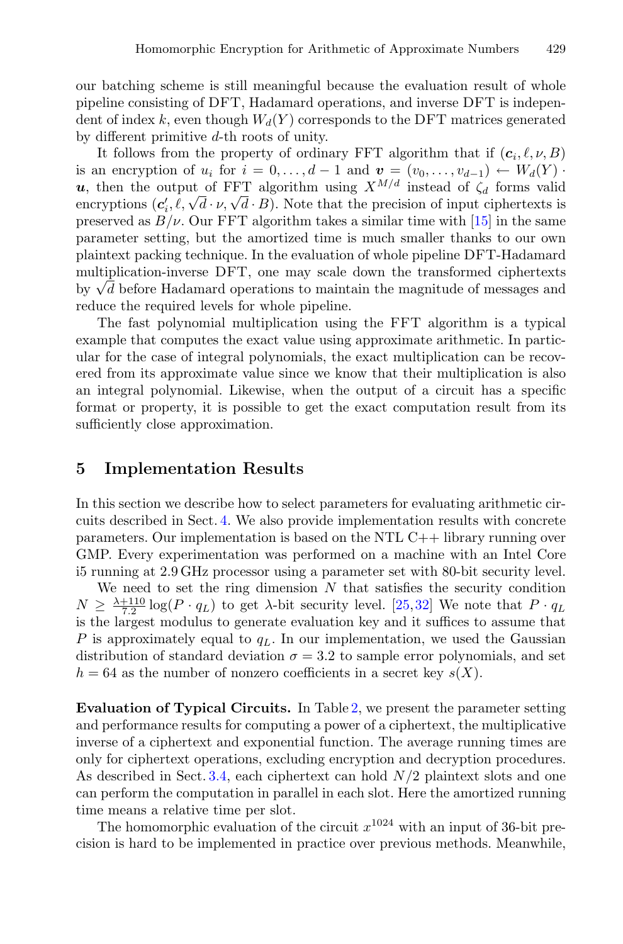our batching scheme is still meaningful because the evaluation result of whole pipeline consisting of DFT, Hadamard operations, and inverse DFT is independent of index k, even though  $W_d(Y)$  corresponds to the DFT matrices generated by different primitive d-th roots of unity.

It follows from the property of ordinary FFT algorithm that if  $(c_i, \ell, \nu, B)$ is an encryption of  $u_i$  for  $i = 0, \ldots, d - 1$  and  $\mathbf{v} = (v_0, \ldots, v_{d-1}) \leftarrow W_d(Y)$ . *u*, then the output of FFT algorithm using  $X^{M/d}$  instead of  $\zeta_d$  forms valid encryptions  $(c'_i, \ell, \sqrt{d} \cdot \nu, \sqrt{d} \cdot B)$ . Note that the precision of input ciphertexts is preserved as  $B/\nu$ . Our FFT algorithm takes a similar time with [\[15\]](#page-26-11) in the same parameter setting, but the amortized time is much smaller thanks to our own plaintext packing technique. In the evaluation of whole pipeline DFT-Hadamard multiplication-inverse DFT, one may scale down the transformed ciphertexts  $\partial_{\alpha}$  before Hadamard operations to maintain the magnitude of messages and reduce the required levels for whole pipeline.

The fast polynomial multiplication using the FFT algorithm is a typical example that computes the exact value using approximate arithmetic. In particular for the case of integral polynomials, the exact multiplication can be recovered from its approximate value since we know that their multiplication is also an integral polynomial. Likewise, when the output of a circuit has a specific format or property, it is possible to get the exact computation result from its sufficiently close approximation.

### <span id="page-20-0"></span>**5 Implementation Results**

In this section we describe how to select parameters for evaluating arithmetic circuits described in Sect. [4.](#page-14-0) We also provide implementation results with concrete parameters. Our implementation is based on the NTL C++ library running over GMP. Every experimentation was performed on a machine with an Intel Core i5 running at 2.9 GHz processor using a parameter set with 80-bit security level.

We need to set the ring dimension  $N$  that satisfies the security condition  $N \geq \frac{\lambda+110}{7.2} \log(P \cdot q_L)$  to get  $\lambda$ -bit security level. [\[25](#page-27-3),[32\]](#page-28-8) We note that  $P \cdot q_L$ is the largest modulus to generate evaluation key and it suffices to assume that P is approximately equal to  $q_L$ . In our implementation, we used the Gaussian distribution of standard deviation  $\sigma = 3.2$  to sample error polynomials, and set  $h = 64$  as the number of nonzero coefficients in a secret key  $s(X)$ .

**Evaluation of Typical Circuits.** In Table [2,](#page-21-0) we present the parameter setting and performance results for computing a power of a ciphertext, the multiplicative inverse of a ciphertext and exponential function. The average running times are only for ciphertext operations, excluding encryption and decryption procedures. As described in Sect. [3.4,](#page-12-1) each ciphertext can hold  $N/2$  plaintext slots and one can perform the computation in parallel in each slot. Here the amortized running time means a relative time per slot.

The homomorphic evaluation of the circuit  $x^{1024}$  with an input of 36-bit precision is hard to be implemented in practice over previous methods. Meanwhile,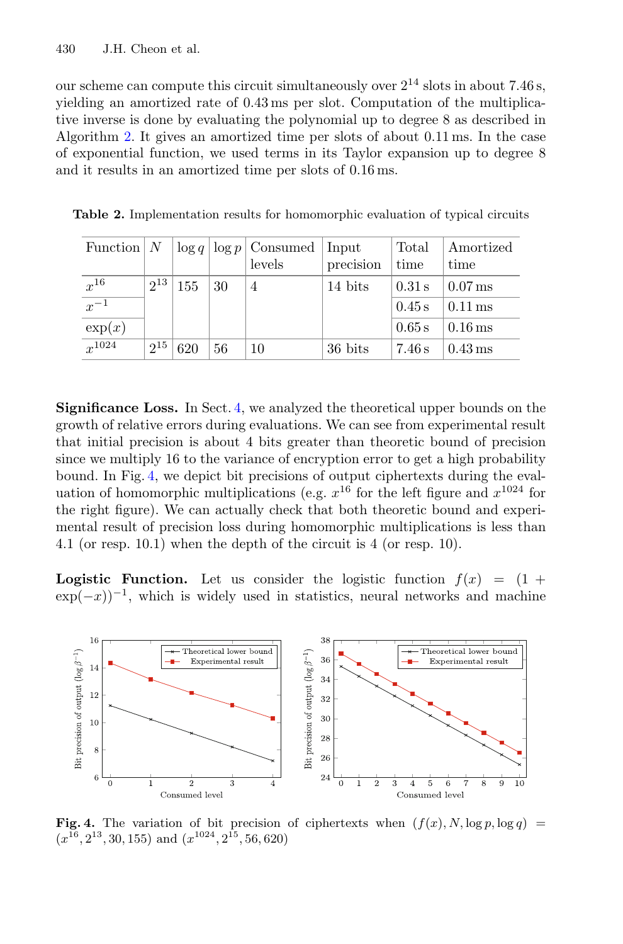our scheme can compute this circuit simultaneously over  $2^{14}$  slots in about 7.46 s, yielding an amortized rate of 0.43 ms per slot. Computation of the multiplicative inverse is done by evaluating the polynomial up to degree 8 as described in Algorithm [2.](#page-18-0) It gives an amortized time per slots of about 0.11 ms. In the case of exponential function, we used terms in its Taylor expansion up to degree 8 and it results in an amortized time per slots of 0.16 ms.

| Function $ N $      |          |     |    | $\log q \log p$ Consumed Input |           | Total  | Amortized            |
|---------------------|----------|-----|----|--------------------------------|-----------|--------|----------------------|
|                     |          |     |    | levels                         | precision | time   | time                 |
| $x^{16}$            | $2^{13}$ | 155 | 30 | $\overline{4}$                 | 14 bits   | 0.31 s | $0.07$ ms            |
| $\overline{x^{-1}}$ |          |     |    |                                |           | 0.45 s | $0.11$ ms            |
| $\exp(x)$           |          |     |    |                                |           | 0.65 s | $0.16 \,\mathrm{ms}$ |
| $\frac{1024}{r^2}$  | $2^{15}$ | 620 | 56 | 10                             | 36 bits   | 7.46 s | $0.43 \,\mathrm{ms}$ |

<span id="page-21-0"></span>**Table 2.** Implementation results for homomorphic evaluation of typical circuits

**Significance Loss.** In Sect. [4,](#page-14-0) we analyzed the theoretical upper bounds on the growth of relative errors during evaluations. We can see from experimental result that initial precision is about 4 bits greater than theoretic bound of precision since we multiply 16 to the variance of encryption error to get a high probability bound. In Fig. [4,](#page-21-1) we depict bit precisions of output ciphertexts during the evaluation of homomorphic multiplications (e.g.  $x^{16}$  for the left figure and  $x^{1024}$  for the right figure). We can actually check that both theoretic bound and experimental result of precision loss during homomorphic multiplications is less than 4.1 (or resp. 10.1) when the depth of the circuit is 4 (or resp. 10).

**Logistic Function.** Let us consider the logistic function  $f(x) = (1 +$  $\exp(-x)$ <sup>-1</sup>, which is widely used in statistics, neural networks and machine



<span id="page-21-1"></span>**Fig. 4.** The variation of bit precision of ciphertexts when  $(f(x), N, \log p, \log q)$  =  $(x^{16}, 2^{13}, 30, 155)$  and  $(x^{1024}, 2^{15}, 56, 620)$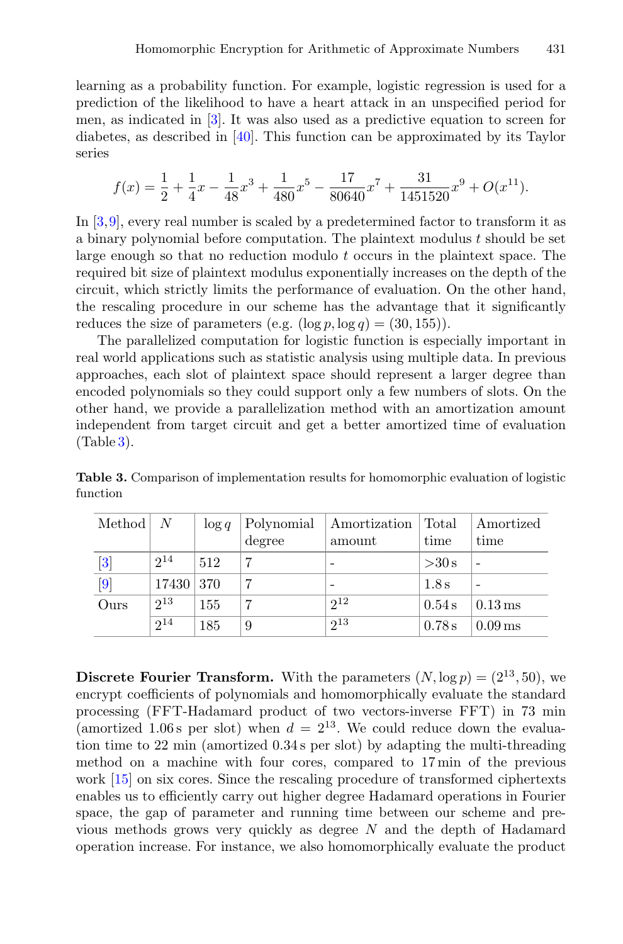learning as a probability function. For example, logistic regression is used for a prediction of the likelihood to have a heart attack in an unspecified period for men, as indicated in [\[3\]](#page-26-9). It was also used as a predictive equation to screen for diabetes, as described in [\[40\]](#page-28-9). This function can be approximated by its Taylor series

$$
f(x) = \frac{1}{2} + \frac{1}{4}x - \frac{1}{48}x^3 + \frac{1}{480}x^5 - \frac{17}{80640}x^7 + \frac{31}{1451520}x^9 + O(x^{11}).
$$

In [\[3](#page-26-9)[,9](#page-26-10)], every real number is scaled by a predetermined factor to transform it as a binary polynomial before computation. The plaintext modulus  $t$  should be set large enough so that no reduction modulo t occurs in the plaintext space. The required bit size of plaintext modulus exponentially increases on the depth of the circuit, which strictly limits the performance of evaluation. On the other hand, the rescaling procedure in our scheme has the advantage that it significantly reduces the size of parameters (e.g.  $(\log p, \log q) = (30, 155)$ ).

The parallelized computation for logistic function is especially important in real world applications such as statistic analysis using multiple data. In previous approaches, each slot of plaintext space should represent a larger degree than encoded polynomials so they could support only a few numbers of slots. On the other hand, we provide a parallelization method with an amortization amount independent from target circuit and get a better amortized time of evaluation  $(Table 3).$  $(Table 3).$  $(Table 3).$ 

| Method           | N         | $\log q$ | Polynomial<br>degree | Amortization<br>amount | Total<br>time | Amortized<br>time    |
|------------------|-----------|----------|----------------------|------------------------|---------------|----------------------|
| $\left 3\right $ | $2^{14}$  | 512      | 7                    | -                      | >30 s         |                      |
| $\left[9\right]$ | 17430 370 |          | 7                    | -                      | 1.8s          |                      |
| Ours             | $2^{13}$  | 155      |                      | $2^{12}$               | 0.54 s        | $0.13 \,\mathrm{ms}$ |
|                  | $2^{14}$  | 185      | 9                    | $2^{13}$               | 0.78s         | $0.09$ ms            |

<span id="page-22-0"></span>**Table 3.** Comparison of implementation results for homomorphic evaluation of logistic function

**Discrete Fourier Transform.** With the parameters  $(N, \log p) = (2^{13}, 50)$ , we encrypt coefficients of polynomials and homomorphically evaluate the standard processing (FFT-Hadamard product of two vectors-inverse FFT) in 73 min (amortized 1.06s per slot) when  $d = 2^{13}$ . We could reduce down the evaluation time to 22 min (amortized 0.34 s per slot) by adapting the multi-threading method on a machine with four cores, compared to 17 min of the previous work [\[15\]](#page-26-11) on six cores. Since the rescaling procedure of transformed ciphertexts enables us to efficiently carry out higher degree Hadamard operations in Fourier space, the gap of parameter and running time between our scheme and previous methods grows very quickly as degree N and the depth of Hadamard operation increase. For instance, we also homomorphically evaluate the product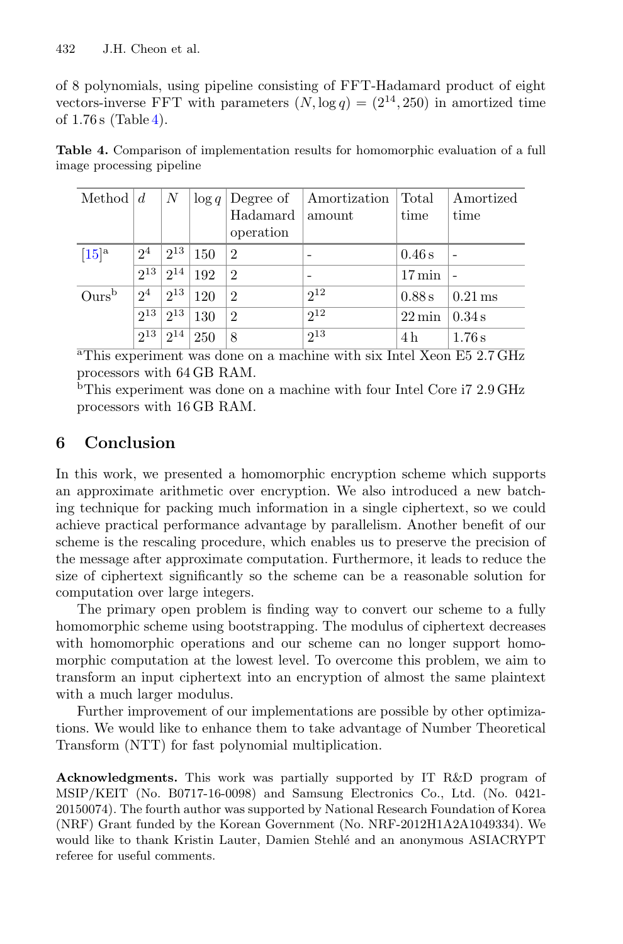of 8 polynomials, using pipeline consisting of FFT-Hadamard product of eight vectors-inverse FFT with parameters  $(N, \log q) = (2^{14}, 250)$  in amortized time of 1.76 s (Table [4\)](#page-23-0).

<span id="page-23-0"></span>**Table 4.** Comparison of implementation results for homomorphic evaluation of a full image processing pipeline

| Method $\vert d \vert$ |                | N        |     | $\log q$ Degree of | Amortization             | Total               | Amortized            |
|------------------------|----------------|----------|-----|--------------------|--------------------------|---------------------|----------------------|
|                        |                |          |     | Hadamard           | amount                   | time                | time                 |
|                        |                |          |     | operation          |                          |                     |                      |
| $[15]$ <sup>a</sup>    | 2 <sup>4</sup> | $2^{13}$ | 150 | $\overline{2}$     | -                        | 0.46s               |                      |
|                        | $2^{13}$       | $2^{14}$ | 192 | $\overline{2}$     | $\overline{\phantom{0}}$ | $17 \,\mathrm{min}$ |                      |
| $Ours^b$               | 2 <sup>4</sup> | $2^{13}$ | 120 | $\overline{2}$     | $2^{12}$                 | 0.88 s              | $0.21 \,\mathrm{ms}$ |
|                        | $2^{13}$       | $2^{13}$ | 130 | $\overline{2}$     | $2^{12}$                 | $22 \,\mathrm{min}$ | 0.34 s               |
|                        | $2^{13}$       | $2^{14}$ | 250 | 8                  | $2^{13}$                 | 4 h                 | 1.76s                |

<sup>a</sup>This experiment was done on a machine with six Intel Xeon E5 2.7 GHz processors with 64 GB RAM.

<sup>b</sup>This experiment was done on a machine with four Intel Core i7 2.9 GHz processors with 16 GB RAM.

# **6 Conclusion**

In this work, we presented a homomorphic encryption scheme which supports an approximate arithmetic over encryption. We also introduced a new batching technique for packing much information in a single ciphertext, so we could achieve practical performance advantage by parallelism. Another benefit of our scheme is the rescaling procedure, which enables us to preserve the precision of the message after approximate computation. Furthermore, it leads to reduce the size of ciphertext significantly so the scheme can be a reasonable solution for computation over large integers.

The primary open problem is finding way to convert our scheme to a fully homomorphic scheme using bootstrapping. The modulus of ciphertext decreases with homomorphic operations and our scheme can no longer support homomorphic computation at the lowest level. To overcome this problem, we aim to transform an input ciphertext into an encryption of almost the same plaintext with a much larger modulus.

Further improvement of our implementations are possible by other optimizations. We would like to enhance them to take advantage of Number Theoretical Transform (NTT) for fast polynomial multiplication.

**Acknowledgments.** This work was partially supported by IT R&D program of MSIP/KEIT (No. B0717-16-0098) and Samsung Electronics Co., Ltd. (No. 0421- 20150074). The fourth author was supported by National Research Foundation of Korea (NRF) Grant funded by the Korean Government (No. NRF-2012H1A2A1049334). We would like to thank Kristin Lauter, Damien Stehl´e and an anonymous ASIACRYPT referee for useful comments.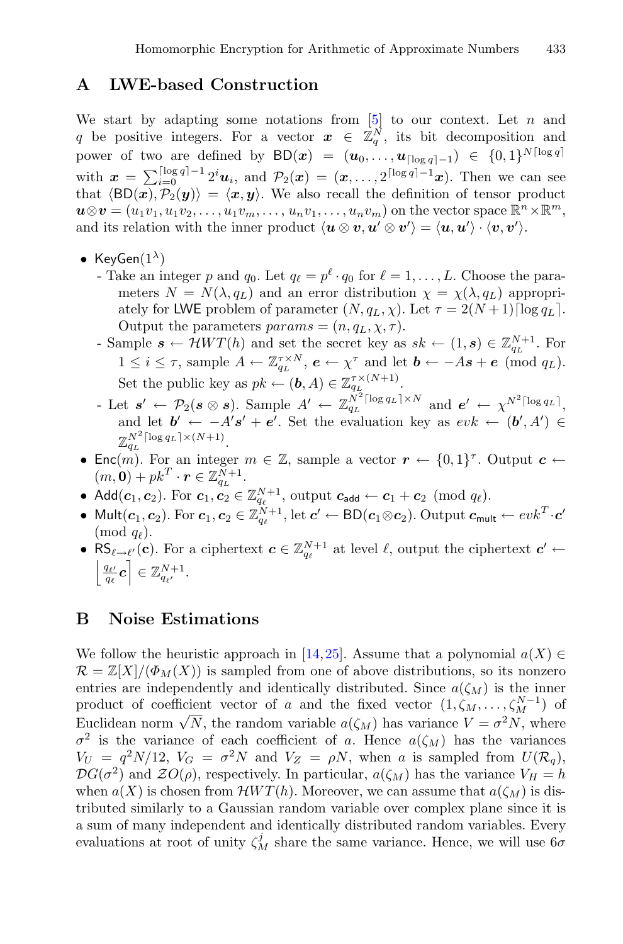### <span id="page-24-0"></span>**A LWE-based Construction**

We start by adapting some notations from  $[5]$  $[5]$  to our context. Let n and q be positive integers. For a vector  $x \in \mathbb{Z}_q^N$ , its bit decomposition and power of two are defined by  $BD(x)=(u_0,\ldots,u_{\lceil \log q\rceil-1}) \in \{0,1\}^{N\lceil \log q\rceil}$ with  $\mathbf{x} = \sum_{i=0}^{\lceil \log q \rceil - 1} 2^i \mathbf{u}_i$ , and  $\mathcal{P}_2(\mathbf{x}) = (\mathbf{x}, \ldots, 2^{\lceil \log q \rceil - 1} \mathbf{x})$ . Then we can see that  $\langle BD(x), \overline{P_2}(y) \rangle = \langle x, y \rangle$ . We also recall the definition of tensor product  $u \otimes v = (u_1v_1, u_1v_2, \ldots, u_1v_m, \ldots, u_nv_1, \ldots, u_nv_m)$  on the vector space  $\mathbb{R}^n \times \mathbb{R}^m$ , and its relation with the inner product  $\langle u \otimes v, u' \otimes v' \rangle = \langle u, u' \rangle \cdot \langle v, v' \rangle$ .

- KeyGen $(1^{\lambda})$ 
	- Take an integer p and  $q_0$ . Let  $q_\ell = p^\ell \cdot q_0$  for  $\ell = 1, \ldots, L$ . Choose the parameters  $N = N(\lambda, q_L)$  and an error distribution  $\chi = \chi(\lambda, q_L)$  appropriately for LWE problem of parameter  $(N, q_L, \chi)$ . Let  $\tau = 2(N+1) \lceil \log q_L \rceil$ . Output the parameters  $params = (n, q<sub>L</sub>, \chi, \tau)$ .
	- Sample  $s \leftarrow \mathcal{H}WT(h)$  and set the secret key as  $sk \leftarrow (1, s) \in \mathbb{Z}_{q_L}^{N+1}$ . For  $1 \leq i \leq \tau$ , sample  $A \leftarrow \mathbb{Z}_{q_L}^{\tau \times N}$ ,  $e \leftarrow \chi^{\tau}$  and let  $b \leftarrow -As + e \pmod{q_L}$ . Set the public key as  $pk \leftarrow (\mathbf{b}, A) \in \mathbb{Z}_{q_L}^{\tau \times (N+1)}$ .
	- Let  $s' \leftarrow \mathcal{P}_2(s \otimes s)$ . Sample  $A' \leftarrow \mathbb{Z}_{q_L}^{N^2 \lceil \log q_L \rceil \times N}$  and  $e' \leftarrow \chi^{N^2 \lceil \log q_L \rceil}$ , and let  $\mathbf{b}' \leftarrow -A'\mathbf{s}' + \mathbf{e}'$ . Set the evaluation key as  $evk \leftarrow (\mathbf{b}', A') \in$  $\mathbb{Z}_{q_L}^{N^2 \lceil \log q_L \rceil \times (N+1)}.$
- Enc $(m)$ . For an integer  $m \in \mathbb{Z}$ , sample a vector  $r \leftarrow \{0,1\}^{\tau}$ . Output  $c \leftarrow$  $(m, 0) + p k^T \cdot r \in \mathbb{Z}_{q_L}^{\text{N}+1}.$
- Add $(c_1, c_2)$ . For  $c_1, c_2 \in \mathbb{Z}_{q_\ell}^{N+1}$ , output  $c_{\mathsf{add}} \leftarrow c_1 + c_2 \pmod{q_\ell}$ .
- Mult $(c_1, c_2)$ . For  $c_1, c_2 \in \mathbb{Z}_{q_\ell}^{\tilde{N}+1}$ , let  $c' \leftarrow \mathsf{BD}(c_1 \otimes c_2)$ . Output  $c_{\mathsf{mult}} \leftarrow evk^T \cdot c'$  $\pmod{q_\ell}$ .
- $\mathsf{RS}_{\ell \to \ell'}(\mathbf{c})$ . For a ciphertext  $\mathbf{c} \in \mathbb{Z}_{q_\ell}^{N+1}$  at level  $\ell$ , output the ciphertext  $\mathbf{c}' \leftarrow \lceil \frac{q_{\ell'}}{\ell} \mathbf{c} \rceil \in \mathbb{Z}^{N+1}$  $\left. \frac{q_{\ell'}}{q_{\ell}} \boldsymbol{c} \right| \in \mathbb{Z}_{q_{\ell'}}^{N+1}.$

### <span id="page-24-1"></span>**B Noise Estimations**

We follow the heuristic approach in [\[14](#page-26-13)[,25](#page-27-3)]. Assume that a polynomial  $a(X) \in$  $\mathcal{R} = \mathbb{Z}[X]/(\Phi_M(X))$  is sampled from one of above distributions, so its nonzero entries are independently and identically distributed. Since  $a(\zeta_M)$  is the inner product of coefficient vector of a and the fixed vector  $(1, \zeta_M, \ldots, \zeta_M^{N-1})$  of Euclidean norm  $\sqrt{N}$ , the random variable  $a(\zeta_M)$  has variance  $V = \sigma^2 N$ , where  $\sigma^2$  is the variance of each coefficient of a. Hence  $a(\zeta_M)$  has the variances  $V_U = q^2 N/12$ ,  $V_G = \sigma^2 N$  and  $V_Z = \rho N$ , when a is sampled from  $U(\mathcal{R}_q)$ ,  $DG(\sigma^2)$  and  $ZO(\rho)$ , respectively. In particular,  $a(\zeta_M)$  has the variance  $V_H = h$ when  $a(X)$  is chosen from  $\mathcal{H}WT(h)$ . Moreover, we can assume that  $a(\zeta_M)$  is distributed similarly to a Gaussian random variable over complex plane since it is a sum of many independent and identically distributed random variables. Every evaluations at root of unity  $\zeta_M^j$  share the same variance. Hence, we will use  $6\sigma$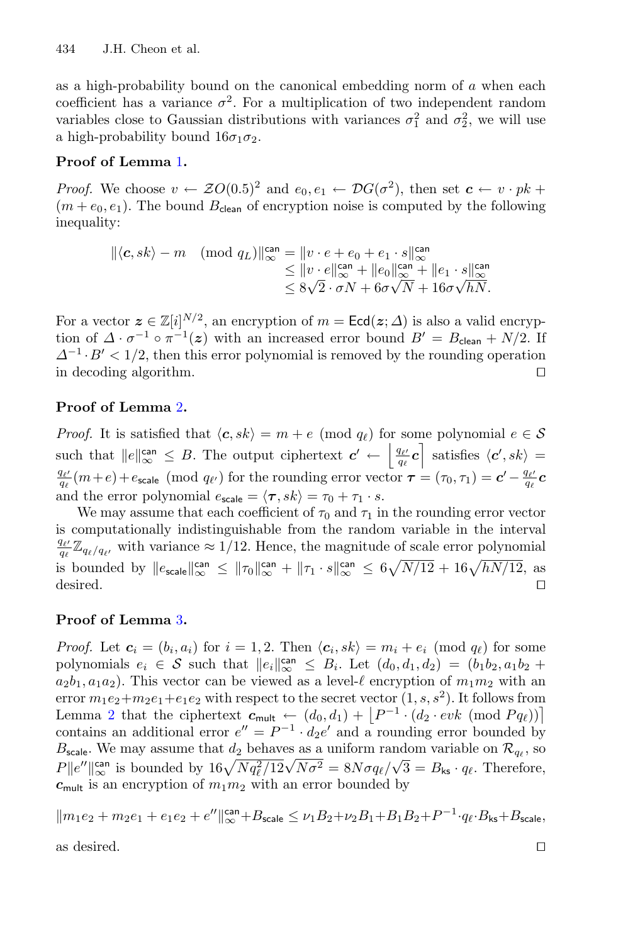as a high-probability bound on the canonical embedding norm of  $a$  when each coefficient has a variance  $\sigma^2$ . For a multiplication of two independent random variables close to Gaussian distributions with variances  $\sigma_1^2$  and  $\sigma_2^2$ , we will use a high-probability bound  $16\sigma_1\sigma_2$ .

### **Proof of Lemma** [1](#page-13-2)**.**

*Proof.* We choose  $v \leftarrow \mathcal{Z}O(0.5)^2$  and  $e_0, e_1 \leftarrow \mathcal{D}G(\sigma^2)$ , then set  $c \leftarrow v \cdot pk +$  $(m + e_0, e_1)$ . The bound  $B_{clean}$  of encryption noise is computed by the following inequality:

$$
\begin{array}{ll}\n\|\langle c,sk\rangle - m \pmod{q_L}\|_{\infty}^{\operatorname{can}} = \|v \cdot e + e_0 + e_1 \cdot s\|_{\infty}^{\operatorname{can}} \\
&\leq \|v \cdot e\|_{\infty}^{\operatorname{can}} + \|e_0\|_{\infty}^{\operatorname{can}} + \|e_1 \cdot s\|_{\infty}^{\operatorname{can}} \\
&\leq 8\sqrt{2} \cdot \sigma N + 6\sigma \sqrt{N} + 16\sigma \sqrt{hN}.\n\end{array}
$$

For a vector  $z \in \mathbb{Z}[i]^{N/2}$ , an encryption of  $m = \text{Ecd}(z; \Delta)$  is also a valid encryption of  $\Delta \cdot \sigma^{-1} \circ \pi^{-1}(z)$  with an increased error bound  $B' = B_{\text{clean}} + N/2$ . If  $\Delta^{-1} \cdot B' < 1/2$ , then this error polynomial is removed by the rounding operation in decoding algorithm. in decoding algorithm.

### **Proof of Lemma** [2](#page-13-0)**.**

*Proof.* It is satisfied that  $\langle c, sk \rangle = m + e \pmod{q_\ell}$  for some polynomial  $e \in \mathcal{S}$ such that  $||e||_{\infty}^{\text{can}} \leq B$ . The output ciphertext  $c' \leftarrow \left\lfloor \frac{q_{\ell'}}{q_{\ell}} c \right\rceil$  satisfies  $\langle c', sk \rangle =$  $\frac{q_{\ell'}}{q_{\ell}}(m+e) + e_{\text{scale}}$  (mod  $q_{\ell'}$ ) for the rounding error vector  $\tau = (\tau_0, \tau_1) = \mathbf{c'} - \frac{q_{\ell'}}{q_{\ell}}\mathbf{c'}$ and the error polynomial  $e_{scale} = \langle \tau, sk \rangle = \tau_0 + \tau_1 \cdot s$ .

We may assume that each coefficient of  $\tau_0$  and  $\tau_1$  in the rounding error vector is computationally indistinguishable from the random variable in the interval  $\frac{q_{\ell'}}{q_{\ell}}\mathbb{Z}_{q_{\ell}/q_{\ell'}}$  with variance  $\approx 1/12$ . Hence, the magnitude of scale error polynomial is bounded by  $||e_{\text{scale}}||_{\infty}^{\text{can}} \le ||\tau_0||_{\infty}^{\text{can}} + ||\tau_1 \cdot s||_{\infty}^{\text{can}} \le 6\sqrt{N/12} + 16\sqrt{hN/12}$ , as desired.  $\square$ 

### **Proof of Lemma** [3](#page-13-1)**.**

*Proof.* Let  $c_i = (b_i, a_i)$  for  $i = 1, 2$ . Then  $\langle c_i, sk \rangle = m_i + e_i \pmod{q_\ell}$  for some polynomials  $e_i \in S$  such that  $||e_i||_{\infty}^{\text{can}} \leq B_i$ . Let  $(d_0, d_1, d_2) = (b_1b_2, a_1b_2 + b_2b_1)$  $a_2b_1, a_1a_2$ ). This vector can be viewed as a level- $\ell$  encryption of  $m_1m_2$  with an error  $m_1e_2+m_2e_1+e_1e_2$  with respect to the secret vector  $(1, s, s^2)$ . It follows from Lemma [2](#page-13-0) that the ciphertext  $c_{\text{mult}} \leftarrow (d_0, d_1) + \left[ P^{-1} \cdot (d_2 \cdot evk \pmod{P_{q_{\ell}}}) \right]$ contains an additional error  $e'' = P^{-1} \cdot d_2 e'$  and a rounding error bounded by  $B_{scale}$ . We may assume that  $d_2$  behaves as a uniform random variable on  $\mathcal{R}_{q_\ell}$ , so  $P||e''||_{\infty}^{\text{can}}$  is bounded by  $16\sqrt{Nq_{\ell}^2/12}\sqrt{N\sigma^2} = 8N\sigma q_{\ell}/\sqrt{3} = B_{\text{ks}} \cdot q_{\ell}$ . Therefore,  $c_{\text{mult}}$  is an encryption of  $m_1m_2$  with an error bounded by

$$
\|m_1e_2+m_2e_1+e_1e_2+e''\|_{\infty}^{\mathrm{can}}+B_{\mathrm{scale}}\leq \nu_1B_2+\nu_2B_1+B_1B_2+P^{-1}\cdot q_{\ell}\cdot B_{\mathrm{ks}}+B_{\mathrm{scale}},
$$

as desired.  $\square$ 

$$
\Box
$$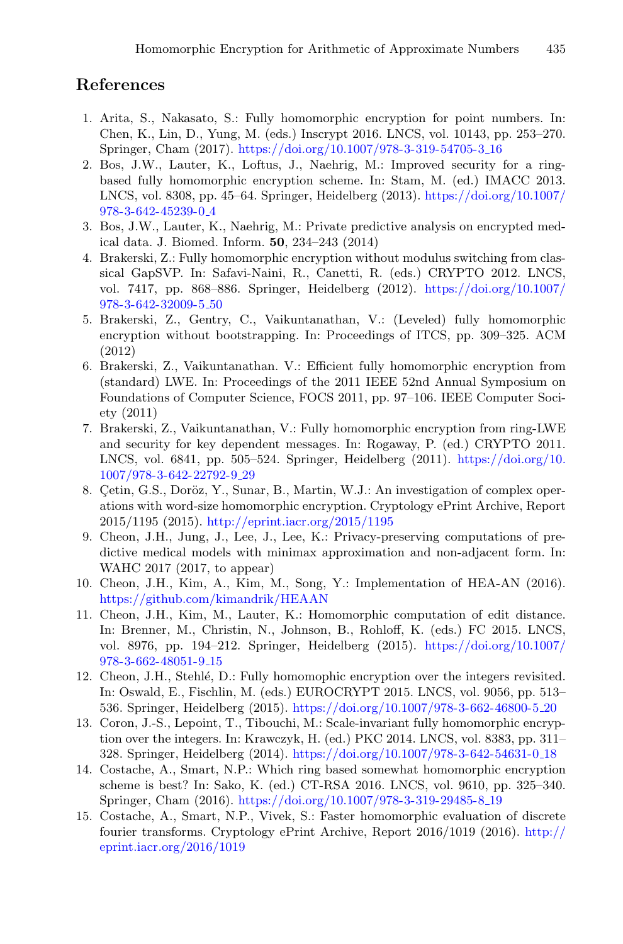### <span id="page-26-6"></span>**References**

- 1. Arita, S., Nakasato, S.: Fully homomorphic encryption for point numbers. In: Chen, K., Lin, D., Yung, M. (eds.) Inscrypt 2016. LNCS, vol. 10143, pp. 253–270. Springer, Cham (2017). [https://doi.org/10.1007/978-3-319-54705-3](https://doi.org/10.1007/978-3-319-54705-3_16) 16
- <span id="page-26-0"></span>2. Bos, J.W., Lauter, K., Loftus, J., Naehrig, M.: Improved security for a ringbased fully homomorphic encryption scheme. In: Stam, M. (ed.) IMACC 2013. LNCS, vol. 8308, pp. 45–64. Springer, Heidelberg (2013). [https://doi.org/10.1007/](https://doi.org/10.1007/978-3-642-45239-0_4) [978-3-642-45239-0](https://doi.org/10.1007/978-3-642-45239-0_4) 4
- <span id="page-26-9"></span>3. Bos, J.W., Lauter, K., Naehrig, M.: Private predictive analysis on encrypted medical data. J. Biomed. Inform. **50**, 234–243 (2014)
- <span id="page-26-1"></span>4. Brakerski, Z.: Fully homomorphic encryption without modulus switching from classical GapSVP. In: Safavi-Naini, R., Canetti, R. (eds.) CRYPTO 2012. LNCS, vol. 7417, pp. 868–886. Springer, Heidelberg (2012). [https://doi.org/10.1007/](https://doi.org/10.1007/978-3-642-32009-5_50) [978-3-642-32009-5](https://doi.org/10.1007/978-3-642-32009-5_50) 50
- <span id="page-26-7"></span>5. Brakerski, Z., Gentry, C., Vaikuntanathan, V.: (Leveled) fully homomorphic encryption without bootstrapping. In: Proceedings of ITCS, pp. 309–325. ACM (2012)
- <span id="page-26-8"></span>6. Brakerski, Z., Vaikuntanathan. V.: Efficient fully homomorphic encryption from (standard) LWE. In: Proceedings of the 2011 IEEE 52nd Annual Symposium on Foundations of Computer Science, FOCS 2011, pp. 97–106. IEEE Computer Society (2011)
- <span id="page-26-2"></span>7. Brakerski, Z., Vaikuntanathan, V.: Fully homomorphic encryption from ring-LWE and security for key dependent messages. In: Rogaway, P. (ed.) CRYPTO 2011. LNCS, vol. 6841, pp. 505–524. Springer, Heidelberg (2011). [https://doi.org/10.](https://doi.org/10.1007/978-3-642-22792-9_29) [1007/978-3-642-22792-9](https://doi.org/10.1007/978-3-642-22792-9_29) 29
- <span id="page-26-14"></span>8. Çetin, G.S., Doröz, Y., Sunar, B., Martin, W.J.: An investigation of complex operations with word-size homomorphic encryption. Cryptology ePrint Archive, Report 2015/1195 (2015). <http://eprint.iacr.org/2015/1195>
- <span id="page-26-10"></span>9. Cheon, J.H., Jung, J., Lee, J., Lee, K.: Privacy-preserving computations of predictive medical models with minimax approximation and non-adjacent form. In: WAHC 2017 (2017, to appear)
- <span id="page-26-12"></span>10. Cheon, J.H., Kim, A., Kim, M., Song, Y.: Implementation of HEA-AN (2016). <https://github.com/kimandrik/HEAAN>
- <span id="page-26-5"></span>11. Cheon, J.H., Kim, M., Lauter, K.: Homomorphic computation of edit distance. In: Brenner, M., Christin, N., Johnson, B., Rohloff, K. (eds.) FC 2015. LNCS, vol. 8976, pp. 194–212. Springer, Heidelberg (2015). [https://doi.org/10.1007/](https://doi.org/10.1007/978-3-662-48051-9_15) [978-3-662-48051-9](https://doi.org/10.1007/978-3-662-48051-9_15) 15
- <span id="page-26-3"></span>12. Cheon, J.H., Stehlé, D.: Fully homomophic encryption over the integers revisited. In: Oswald, E., Fischlin, M. (eds.) EUROCRYPT 2015. LNCS, vol. 9056, pp. 513– 536. Springer, Heidelberg (2015). [https://doi.org/10.1007/978-3-662-46800-5](https://doi.org/10.1007/978-3-662-46800-5_20) 20
- <span id="page-26-4"></span>13. Coron, J.-S., Lepoint, T., Tibouchi, M.: Scale-invariant fully homomorphic encryption over the integers. In: Krawczyk, H. (ed.) PKC 2014. LNCS, vol. 8383, pp. 311– 328. Springer, Heidelberg (2014). [https://doi.org/10.1007/978-3-642-54631-0](https://doi.org/10.1007/978-3-642-54631-0_18) 18
- <span id="page-26-13"></span>14. Costache, A., Smart, N.P.: Which ring based somewhat homomorphic encryption scheme is best? In: Sako, K. (ed.) CT-RSA 2016. LNCS, vol. 9610, pp. 325–340. Springer, Cham (2016). [https://doi.org/10.1007/978-3-319-29485-8](https://doi.org/10.1007/978-3-319-29485-8_19) 19
- <span id="page-26-11"></span>15. Costache, A., Smart, N.P., Vivek, S.: Faster homomorphic evaluation of discrete fourier transforms. Cryptology ePrint Archive, Report 2016/1019 (2016). [http://](http://eprint.iacr.org/2016/1019) [eprint.iacr.org/2016/1019](http://eprint.iacr.org/2016/1019)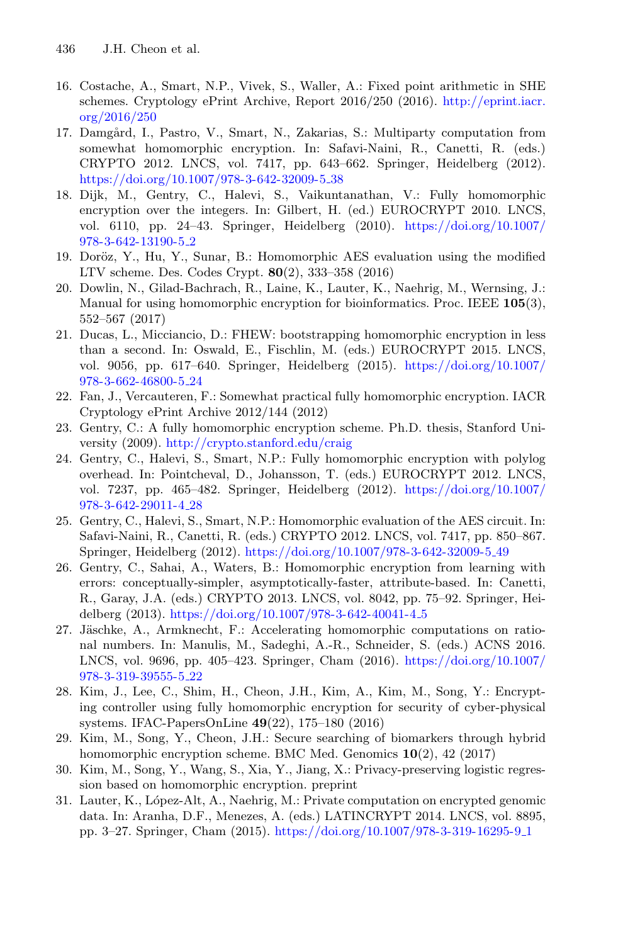- <span id="page-27-9"></span>16. Costache, A., Smart, N.P., Vivek, S., Waller, A.: Fixed point arithmetic in SHE schemes. Cryptology ePrint Archive, Report 2016/250 (2016). [http://eprint.iacr.](http://eprint.iacr.org/2016/250) [org/2016/250](http://eprint.iacr.org/2016/250)
- <span id="page-27-14"></span>17. Damgård, I., Pastro, V., Smart, N., Zakarias, S.: Multiparty computation from somewhat homomorphic encryption. In: Safavi-Naini, R., Canetti, R. (eds.) CRYPTO 2012. LNCS, vol. 7417, pp. 643–662. Springer, Heidelberg (2012). [https://doi.org/10.1007/978-3-642-32009-5](https://doi.org/10.1007/978-3-642-32009-5_38)<sub>-38</sub>
- <span id="page-27-0"></span>18. Dijk, M., Gentry, C., Halevi, S., Vaikuntanathan, V.: Fully homomorphic encryption over the integers. In: Gilbert, H. (ed.) EUROCRYPT 2010. LNCS, vol. 6110, pp. 24–43. Springer, Heidelberg (2010). [https://doi.org/10.1007/](https://doi.org/10.1007/978-3-642-13190-5_2) [978-3-642-13190-5](https://doi.org/10.1007/978-3-642-13190-5_2) 2
- <span id="page-27-1"></span>19. Doröz, Y., Hu, Y., Sunar, B.: Homomorphic AES evaluation using the modified LTV scheme. Des. Codes Crypt. **80**(2), 333–358 (2016)
- <span id="page-27-10"></span>20. Dowlin, N., Gilad-Bachrach, R., Laine, K., Lauter, K., Naehrig, M., Wernsing, J.: Manual for using homomorphic encryption for bioinformatics. Proc. IEEE **105**(3), 552–567 (2017)
- <span id="page-27-2"></span>21. Ducas, L., Micciancio, D.: FHEW: bootstrapping homomorphic encryption in less than a second. In: Oswald, E., Fischlin, M. (eds.) EUROCRYPT 2015. LNCS, vol. 9056, pp. 617–640. Springer, Heidelberg (2015). [https://doi.org/10.1007/](https://doi.org/10.1007/978-3-662-46800-5_24) [978-3-662-46800-5](https://doi.org/10.1007/978-3-662-46800-5_24) 24
- <span id="page-27-11"></span>22. Fan, J., Vercauteren, F.: Somewhat practical fully homomorphic encryption. IACR Cryptology ePrint Archive 2012/144 (2012)
- <span id="page-27-5"></span>23. Gentry, C.: A fully homomorphic encryption scheme. Ph.D. thesis, Stanford University (2009). <http://crypto.stanford.edu/craig>
- <span id="page-27-15"></span>24. Gentry, C., Halevi, S., Smart, N.P.: Fully homomorphic encryption with polylog overhead. In: Pointcheval, D., Johansson, T. (eds.) EUROCRYPT 2012. LNCS, vol. 7237, pp. 465–482. Springer, Heidelberg (2012). [https://doi.org/10.1007/](https://doi.org/10.1007/978-3-642-29011-4_28) [978-3-642-29011-4](https://doi.org/10.1007/978-3-642-29011-4_28) 28
- <span id="page-27-3"></span>25. Gentry, C., Halevi, S., Smart, N.P.: Homomorphic evaluation of the AES circuit. In: Safavi-Naini, R., Canetti, R. (eds.) CRYPTO 2012. LNCS, vol. 7417, pp. 850–867. Springer, Heidelberg (2012). [https://doi.org/10.1007/978-3-642-32009-5](https://doi.org/10.1007/978-3-642-32009-5_49) 49
- <span id="page-27-4"></span>26. Gentry, C., Sahai, A., Waters, B.: Homomorphic encryption from learning with errors: conceptually-simpler, asymptotically-faster, attribute-based. In: Canetti, R., Garay, J.A. (eds.) CRYPTO 2013. LNCS, vol. 8042, pp. 75–92. Springer, Heidelberg (2013). [https://doi.org/10.1007/978-3-642-40041-4](https://doi.org/10.1007/978-3-642-40041-4_5) 5
- <span id="page-27-8"></span>27. Jäschke, A., Armknecht, F.: Accelerating homomorphic computations on rational numbers. In: Manulis, M., Sadeghi, A.-R., Schneider, S. (eds.) ACNS 2016. LNCS, vol. 9696, pp. 405–423. Springer, Cham (2016). [https://doi.org/10.1007/](https://doi.org/10.1007/978-3-319-39555-5_22) [978-3-319-39555-5](https://doi.org/10.1007/978-3-319-39555-5_22) 22
- <span id="page-27-12"></span>28. Kim, J., Lee, C., Shim, H., Cheon, J.H., Kim, A., Kim, M., Song, Y.: Encrypting controller using fully homomorphic encryption for security of cyber-physical systems. IFAC-PapersOnLine **49**(22), 175–180 (2016)
- <span id="page-27-6"></span>29. Kim, M., Song, Y., Cheon, J.H.: Secure searching of biomarkers through hybrid homomorphic encryption scheme. BMC Med. Genomics **10**(2), 42 (2017)
- <span id="page-27-13"></span>30. Kim, M., Song, Y., Wang, S., Xia, Y., Jiang, X.: Privacy-preserving logistic regression based on homomorphic encryption. preprint
- <span id="page-27-7"></span>31. Lauter, K., López-Alt, A., Naehrig, M.: Private computation on encrypted genomic data. In: Aranha, D.F., Menezes, A. (eds.) LATINCRYPT 2014. LNCS, vol. 8895, pp. 3–27. Springer, Cham (2015). [https://doi.org/10.1007/978-3-319-16295-9](https://doi.org/10.1007/978-3-319-16295-9_1) 1